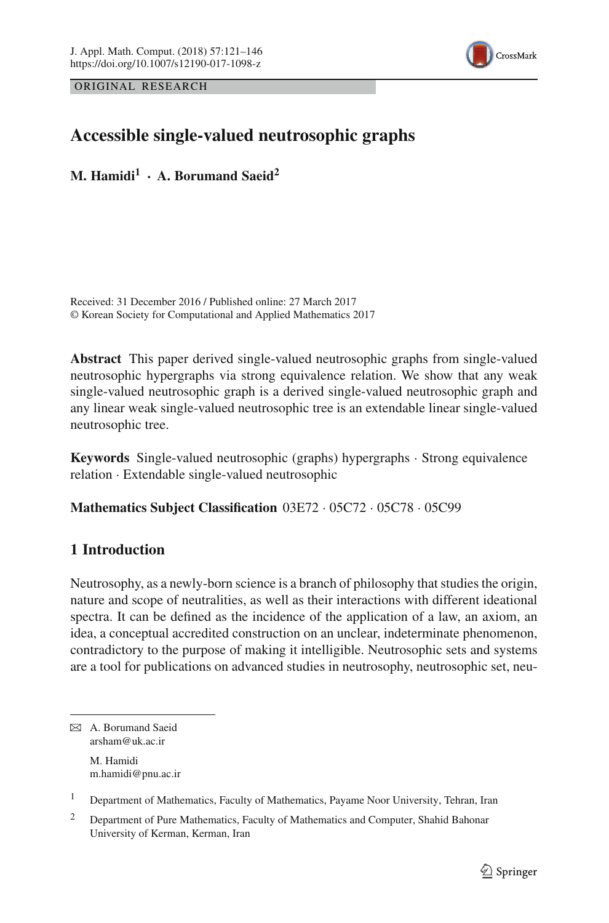

ORIGINAL RESEARCH

# **Accessible single-valued neutrosophic graphs**

**M. Hamidi<sup>1</sup> · A. Borumand Saeid<sup>2</sup>**

Received: 31 December 2016 / Published online: 27 March 2017 © Korean Society for Computational and Applied Mathematics 2017

**Abstract** This paper derived single-valued neutrosophic graphs from single-valued neutrosophic hypergraphs via strong equivalence relation. We show that any weak single-valued neutrosophic graph is a derived single-valued neutrosophic graph and any linear weak single-valued neutrosophic tree is an extendable linear single-valued neutrosophic tree.

**Keywords** Single-valued neutrosophic (graphs) hypergraphs · Strong equivalence relation · Extendable single-valued neutrosophic

**Mathematics Subject Classification** 03E72 · 05C72 · 05C78 · 05C99

## **1 Introduction**

Neutrosophy, as a newly-born science is a branch of philosophy that studies the origin, nature and scope of neutralities, as well as their interactions with different ideational spectra. It can be defined as the incidence of the application of a law, an axiom, an idea, a conceptual accredited construction on an unclear, indeterminate phenomenon, contradictory to the purpose of making it intelligible. Neutrosophic sets and systems are a tool for publications on advanced studies in neutrosophy, neutrosophic set, neu-

B A. Borumand Saeid arsham@uk.ac.ir M. Hamidi

m.hamidi@pnu.ac.ir

<sup>1</sup> Department of Mathematics, Faculty of Mathematics, Payame Noor University, Tehran, Iran

<sup>&</sup>lt;sup>2</sup> Department of Pure Mathematics, Faculty of Mathematics and Computer, Shahid Bahonar University of Kerman, Kerman, Iran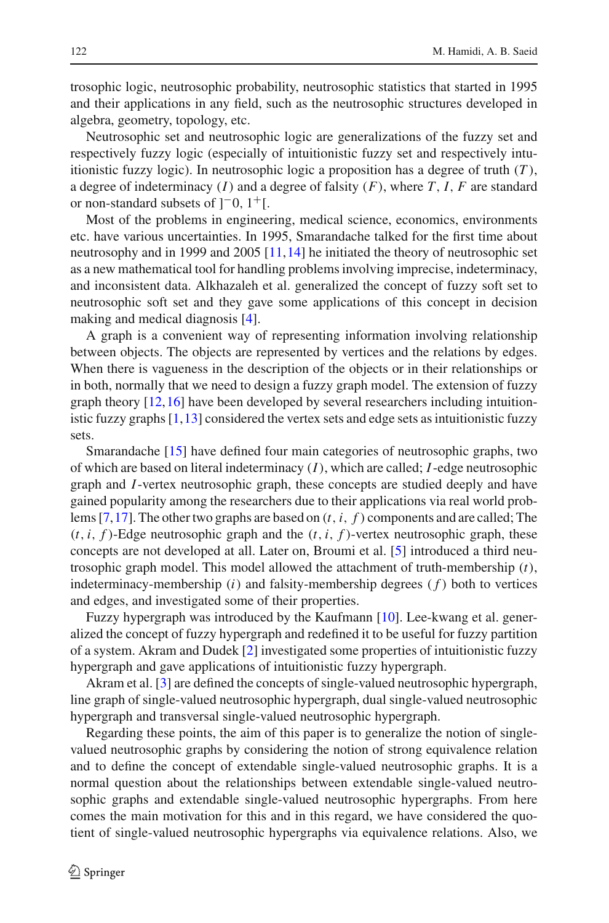trosophic logic, neutrosophic probability, neutrosophic statistics that started in 1995 and their applications in any field, such as the neutrosophic structures developed in algebra, geometry, topology, etc.

Neutrosophic set and neutrosophic logic are generalizations of the fuzzy set and respectively fuzzy logic (especially of intuitionistic fuzzy set and respectively intuitionistic fuzzy logic). In neutrosophic logic a proposition has a degree of truth (*T* ), a degree of indeterminacy  $(I)$  and a degree of falsity  $(F)$ , where  $T$ ,  $I$ ,  $F$  are standard or non-standard subsets of  $]$ <sup>-0</sup>,  $1$ <sup>+</sup>[.

Most of the problems in engineering, medical science, economics, environments etc. have various uncertainties. In 1995, Smarandache talked for the first time about neutrosophy and in 1999 and 2005 [\[11](#page-25-0)[,14](#page-25-1)] he initiated the theory of neutrosophic set as a new mathematical tool for handling problems involving imprecise, indeterminacy, and inconsistent data. Alkhazaleh et al. generalized the concept of fuzzy soft set to neutrosophic soft set and they gave some applications of this concept in decision making and medical diagnosis [\[4](#page-25-2)].

A graph is a convenient way of representing information involving relationship between objects. The objects are represented by vertices and the relations by edges. When there is vagueness in the description of the objects or in their relationships or in both, normally that we need to design a fuzzy graph model. The extension of fuzzy graph theory [\[12](#page-25-3)[,16](#page-25-4)] have been developed by several researchers including intuitionistic fuzzy graphs [\[1,](#page-25-5)[13\]](#page-25-6) considered the vertex sets and edge sets as intuitionistic fuzzy sets.

Smarandache [\[15\]](#page-25-7) have defined four main categories of neutrosophic graphs, two of which are based on literal indeterminacy (*I*), which are called; *I*-edge neutrosophic graph and *I*-vertex neutrosophic graph, these concepts are studied deeply and have gained popularity among the researchers due to their applications via real world problems [\[7](#page-25-8),[17\]](#page-25-9). The other two graphs are based on (*t*,*i*, *f* ) components and are called; The  $(t, i, f)$ -Edge neutrosophic graph and the  $(t, i, f)$ -vertex neutrosophic graph, these concepts are not developed at all. Later on, Broumi et al. [\[5](#page-25-10)] introduced a third neutrosophic graph model. This model allowed the attachment of truth-membership (*t*), indeterminacy-membership (*i*) and falsity-membership degrees ( *f* ) both to vertices and edges, and investigated some of their properties.

Fuzzy hypergraph was introduced by the Kaufmann [\[10](#page-25-11)]. Lee-kwang et al. generalized the concept of fuzzy hypergraph and redefined it to be useful for fuzzy partition of a system. Akram and Dudek [\[2](#page-25-12)] investigated some properties of intuitionistic fuzzy hypergraph and gave applications of intuitionistic fuzzy hypergraph.

Akram et al. [\[3\]](#page-25-13) are defined the concepts of single-valued neutrosophic hypergraph, line graph of single-valued neutrosophic hypergraph, dual single-valued neutrosophic hypergraph and transversal single-valued neutrosophic hypergraph.

Regarding these points, the aim of this paper is to generalize the notion of singlevalued neutrosophic graphs by considering the notion of strong equivalence relation and to define the concept of extendable single-valued neutrosophic graphs. It is a normal question about the relationships between extendable single-valued neutrosophic graphs and extendable single-valued neutrosophic hypergraphs. From here comes the main motivation for this and in this regard, we have considered the quotient of single-valued neutrosophic hypergraphs via equivalence relations. Also, we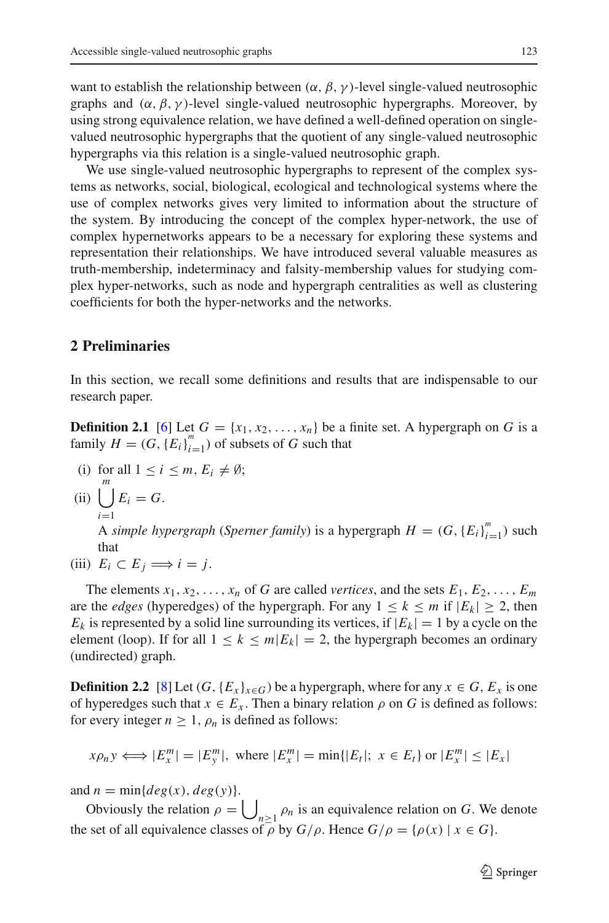want to establish the relationship between  $(\alpha, \beta, \gamma)$ -level single-valued neutrosophic graphs and  $(\alpha, \beta, \gamma)$ -level single-valued neutrosophic hypergraphs. Moreover, by using strong equivalence relation, we have defined a well-defined operation on singlevalued neutrosophic hypergraphs that the quotient of any single-valued neutrosophic hypergraphs via this relation is a single-valued neutrosophic graph.

We use single-valued neutrosophic hypergraphs to represent of the complex systems as networks, social, biological, ecological and technological systems where the use of complex networks gives very limited to information about the structure of the system. By introducing the concept of the complex hyper-network, the use of complex hypernetworks appears to be a necessary for exploring these systems and representation their relationships. We have introduced several valuable measures as truth-membership, indeterminacy and falsity-membership values for studying complex hyper-networks, such as node and hypergraph centralities as well as clustering coefficients for both the hyper-networks and the networks.

#### **2 Preliminaries**

In this section, we recall some definitions and results that are indispensable to our research paper.

**Definition 2.1** [\[6](#page-25-14)] Let  $G = \{x_1, x_2, \ldots, x_n\}$  be a finite set. A hypergraph on *G* is a family  $H = (G, {E_i}_{i=1}^m)$  of subsets of *G* such that

- (i) for all  $1 \leq i \leq m$ ,  $E_i \neq \emptyset$ ;
- (ii)  $\vert \ \vert$ *m i*=1  $E_i = G$ .

A *simple hypergraph* (*Sperner family*) is a hypergraph  $H = (G, \{E_i\}_{i=1}^m)$  such that

(iii)  $E_i \subset E_j \Longrightarrow i = j$ .

The elements  $x_1, x_2, \ldots, x_n$  of *G* are called *vertices*, and the sets  $E_1, E_2, \ldots, E_m$ are the *edges* (hyperedges) of the hypergraph. For any  $1 \leq k \leq m$  if  $|E_k| \geq 2$ , then  $E_k$  is represented by a solid line surrounding its vertices, if  $|E_k| = 1$  by a cycle on the element (loop). If for all  $1 \le k \le m |E_k| = 2$ , the hypergraph becomes an ordinary (undirected) graph.

**Definition 2.2** [\[8](#page-25-15)] Let  $(G, {E_x}_{x \in G})$  be a hypergraph, where for any  $x \in G, E_x$  is one of hyperedges such that  $x \in E_x$ . Then a binary relation  $\rho$  on G is defined as follows: for every integer  $n \geq 1$ ,  $\rho_n$  is defined as follows:

$$
x\rho_n y \iff |E_x^m| = |E_y^m|
$$
, where  $|E_x^m| = \min\{|E_t|; x \in E_t\}$  or  $|E_x^m| \le |E_x|$ 

and  $n = \min\{deg(x), deg(y)\}.$ 

Obviously the relation  $\rho = \bigcup_{n \geq 1} \rho_n$  is an equivalence relation on *G*. We denote the set of all equivalence classes of  $\overline{\rho}$  by  $G/\rho$ . Hence  $G/\rho = {\rho(x) | x \in G}$ .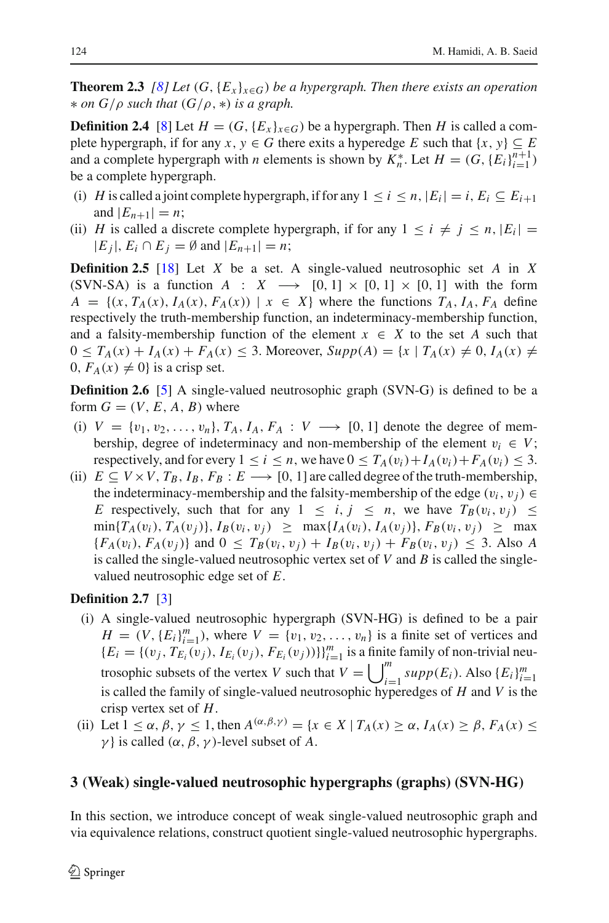**Theorem 2.3** *[\[8](#page-25-15)] Let* (*G*, { $E_x$ } $_{x \in G}$ ) *be a hypergraph. Then there exists an operation* ∗ *on G*/ρ *such that* (*G*/ρ , ∗) *is a graph.*

**Definition 2.4** [\[8](#page-25-15)] Let  $H = (G, \{E_x\}_{x \in G})$  be a hypergraph. Then *H* is called a complete hypergraph, if for any  $x, y \in G$  there exits a hyperedge *E* such that  $\{x, y\} \subseteq E$ and a complete hypergraph with *n* elements is shown by  $K_n^*$ . Let  $H = (G, \{E_i\}_{i=1}^{n+1})$ be a complete hypergraph.

- (i) *H* is called a joint complete hypergraph, if for any  $1 \le i \le n$ ,  $|E_i| = i$ ,  $E_i \subseteq E_{i+1}$ and  $|E_{n+1}| = n$ ;
- (ii) *H* is called a discrete complete hypergraph, if for any  $1 \leq i \neq j \leq n$ ,  $|E_i|$  $|E_i|, E_i ∩ E_j = ∅$  and  $|E_{n+1}| = n;$

**Definition 2.5** [\[18](#page-25-16)] Let *X* be a set. A single-valued neutrosophic set *A* in *X* (SVN-SA) is a function  $A : X \rightarrow [0, 1] \times [0, 1] \times [0, 1]$  with the form  $A = \{(x, T_A(x), I_A(x), F_A(x)) \mid x \in X\}$  where the functions  $T_A$ ,  $I_A$ ,  $F_A$  define respectively the truth-membership function, an indeterminacy-membership function, and a falsity-membership function of the element  $x \in X$  to the set A such that  $0 \leq T_A(x) + I_A(x) + F_A(x) \leq 3$ . Moreover,  $Supp(A) = \{x \mid T_A(x) \neq 0, I_A(x) \neq 0\}$  $0, F_A(x) \neq 0$  is a crisp set.

**Definition 2.6** [\[5](#page-25-10)] A single-valued neutrosophic graph (SVN-G) is defined to be a form  $G = (V, E, A, B)$  where

- (i)  $V = \{v_1, v_2, \ldots, v_n\}, T_A, I_A, F_A : V \longrightarrow [0, 1]$  denote the degree of membership, degree of indeterminacy and non-membership of the element  $v_i \in V$ ; respectively, and for every  $1 \le i \le n$ , we have  $0 \le T_A(v_i) + I_A(v_i) + F_A(v_i) \le 3$ .
- (ii)  $E \subseteq V \times V$ ,  $T_B$ ,  $I_B$ ,  $F_B : E \longrightarrow [0, 1]$  are called degree of the truth-membership, the indeterminacy-membership and the falsity-membership of the edge  $(v_i, v_j) \in$ *E* respectively, such that for any  $1 \le i, j \le n$ , we have  $T_B(v_i, v_j) \le$  $\min\{T_A(v_i), T_A(v_j)\}, I_B(v_i, v_j) \geq \max\{I_A(v_i), I_A(v_j)\}, F_B(v_i, v_j) \geq \max\{I_A(v_j)\}$  ${F_A(v_i), F_A(v_j)}$  and  $0 \leq T_B(v_i, v_j) + I_B(v_i, v_j) + F_B(v_i, v_j) \leq 3$ . Also *A* is called the single-valued neutrosophic vertex set of *V* and *B* is called the singlevalued neutrosophic edge set of *E*.

#### **Definition 2.7** [\[3](#page-25-13)]

- (i) A single-valued neutrosophic hypergraph (SVN-HG) is defined to be a pair  $H = (V, {E_i}_{i=1}^m)$ , where  $V = {v_1, v_2, \ldots, v_n}$  is a finite set of vertices and  ${E_i = \{(v_j, T_{E_i}(v_j), I_{E_i}(v_j), F_{E_i}(v_j))\}_{i=1}^m}$  is a finite family of non-trivial neutrosophic subsets of the vertex *V* such that  $V = \bigcup_{i=1}^{m} supp(E_i)$ . Also  $\{E_i\}_{i=1}^{m}$ is called the family of single-valued neutrosophic hyperedges of *H* and *V* is the crisp vertex set of *H*.
- (ii) Let  $1 \le \alpha, \beta, \gamma \le 1$ , then  $A^{(\alpha,\beta,\gamma)} = \{x \in X \mid T_A(x) \ge \alpha, I_A(x) \ge \beta, F_A(x) \le$ γ } is called (α, β, γ )-level subset of *A*.

#### **3 (Weak) single-valued neutrosophic hypergraphs (graphs) (SVN-HG)**

In this section, we introduce concept of weak single-valued neutrosophic graph and via equivalence relations, construct quotient single-valued neutrosophic hypergraphs.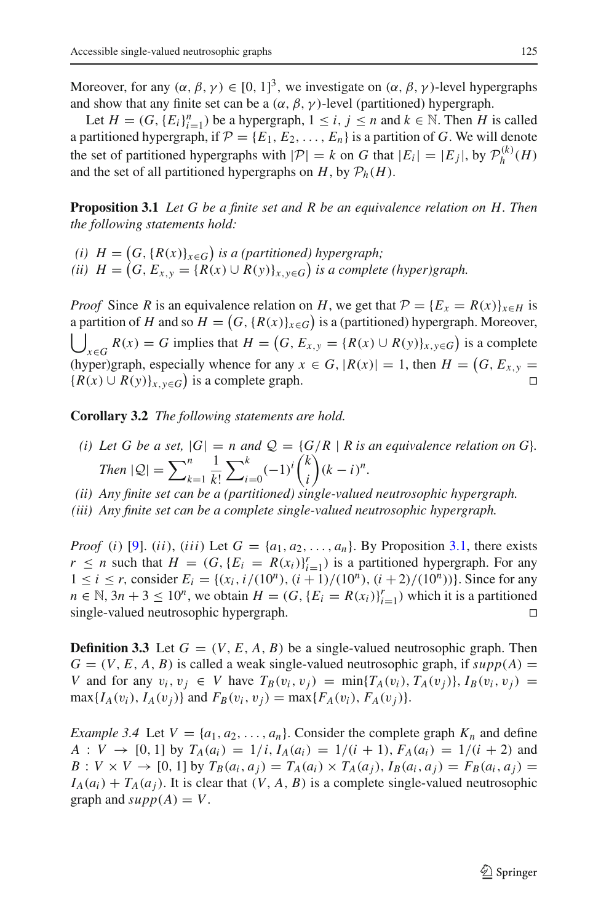Moreover, for any  $(\alpha, \beta, \gamma) \in [0, 1]^3$ , we investigate on  $(\alpha, \beta, \gamma)$ -level hypergraphs and show that any finite set can be a  $(\alpha, \beta, \gamma)$ -level (partitioned) hypergraph.

Let  $H = (G, {E_i}_{i=1}^n)$  be a hypergraph,  $1 \le i, j \le n$  and  $k \in \mathbb{N}$ . Then *H* is called a partitioned hypergraph, if  $P = \{E_1, E_2, \ldots, E_n\}$  is a partition of *G*. We will denote the set of partitioned hypergraphs with  $|\mathcal{P}| = k$  on *G* that  $|E_i| = |E_j|$ , by  $\mathcal{P}_h^{(k)}(H)$ and the set of all partitioned hypergraphs on  $H$ , by  $\mathcal{P}_h(H)$ .

<span id="page-4-0"></span>**Proposition 3.1** *Let G be a finite set and R be an equivalence relation on H. Then the following statements hold:*

*(i)*  $H = (G, \{R(x)\}_{x \in G})$  is a (partitioned) hypergraph; (*ii*)  $H = (G, E_{x,y} = \{R(x) \cup R(y)\}_{x,y \in G})$  *is a complete (hyper)graph.* 

*Proof* Since *R* is an equivalence relation on *H*, we get that  $P = \{E_x = R(x)\}_{x \in H}$  is a partition of *H* and so  $H = (G, \{R(x)\}_{x \in G})$  is a (partitioned) hypergraph. Moreover,  $\Box$  $R(x) = G$  implies that  $H = (G, E_{x,y} = \{R(x) \cup R(y)\}_{x,y \in G}$  is a complete (hyper)graph, especially whence for any  $x \in G$ ,  $|R(x)| = 1$ , then  $H = (G, E_{x,y})$  ${R(x) ∪ R(y)}_{x,y ∈ G}$  is a complete graph.  $□$ 

<span id="page-4-1"></span>**Corollary 3.2** *The following statements are hold.*

- *(i)* Let G be a set,  $|G| = n$  and  $Q = \{G/R \mid R \text{ is an equivalence relation on } G\}.$ *Then*  $|Q| = \sum_{k=1}^{n}$ 1 *k*!  $\sum^k$  $\sum_{i=0}^{k}(-1)^{i} \binom{k}{i}$ *i*  $(k - i)^n$ .
- *(ii) Any finite set can be a (partitioned) single-valued neutrosophic hypergraph.*
- *(iii) Any finite set can be a complete single-valued neutrosophic hypergraph.*

*Proof* (*i*) [\[9](#page-25-17)]. (*ii*), (*iii*) Let  $G = \{a_1, a_2, ..., a_n\}$ . By Proposition [3.1,](#page-4-0) there exists  $r \le n$  such that  $H = (G, \{E_i = R(x_i)\}_{i=1}^r)$  is a partitioned hypergraph. For any  $1 \le i \le r$ , consider  $E_i = \{(x_i, i/(10^n), (i+1)/(10^n), (i+2)/(10^n))\}$ . Since for any *n* ∈ N, 3*n* + 3 ≤ 10<sup>*n*</sup>, we obtain *H* = (*G*, {*E<sub>i</sub>* = *R*(*x<sub>i</sub>*)}<sup>*r*</sup><sub>*i*=1</sub>) which it is a partitioned single-valued neutrosophic hypergraph.

**Definition 3.3** Let  $G = (V, E, A, B)$  be a single-valued neutrosophic graph. Then  $G = (V, E, A, B)$  is called a weak single-valued neutrosophic graph, if  $supp(A)$  = *V* and for any  $v_i, v_j \in V$  have  $T_B(v_i, v_j) = \min\{T_A(v_i), T_A(v_j)\}, I_B(v_i, v_j) =$  $\max\{I_A(v_i), I_A(v_j)\}\$  and  $F_B(v_i, v_j) = \max\{F_A(v_i), F_A(v_j)\}.$ 

*Example 3.4* Let  $V = \{a_1, a_2, \ldots, a_n\}$ . Consider the complete graph  $K_n$  and define  $A: V \rightarrow [0, 1]$  by  $T_A(a_i) = 1/i$ ,  $I_A(a_i) = 1/(i + 1)$ ,  $F_A(a_i) = 1/(i + 2)$  and  $B: V \times V \rightarrow [0, 1]$  by  $T_B(a_i, a_i) = T_A(a_i) \times T_A(a_i)$ ,  $I_B(a_i, a_i) = F_B(a_i, a_i)$  $I_A(a_i) + T_A(a_i)$ . It is clear that  $(V, A, B)$  is a complete single-valued neutrosophic graph and  $supp(A) = V$ .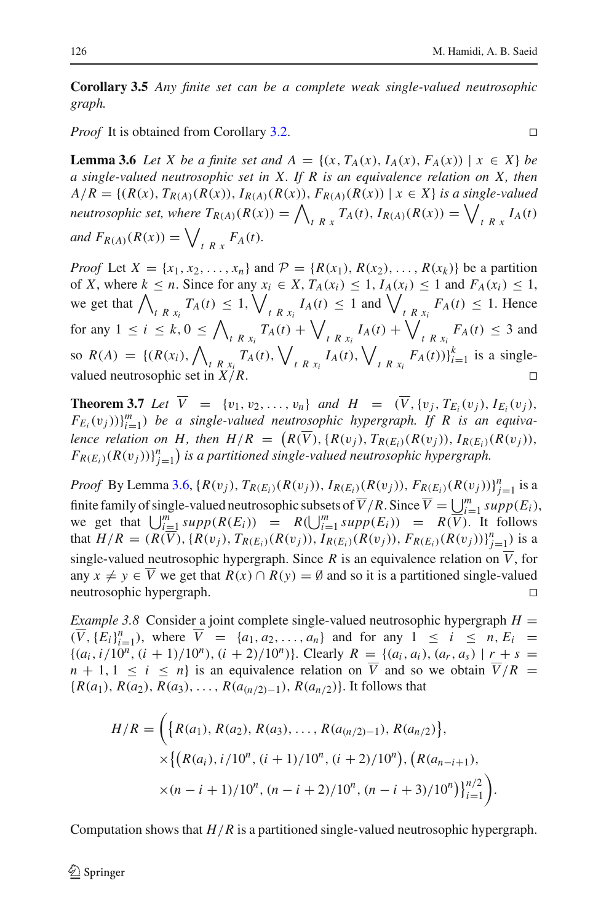**Corollary 3.5** *Any finite set can be a complete weak single-valued neutrosophic graph.*

<span id="page-5-0"></span>*Proof* It is obtained from Corollary [3.2.](#page-4-1) □

**Lemma 3.6** *Let X be a finite set and A* = { $(x, T_A(x), I_A(x), F_A(x))$  |  $x \in X$ } *be a single-valued neutrosophic set in X. If R is an equivalence relation on X, then*  $A/R = \{(R(x), T_{R(A)}(R(x)), I_{R(A)}(R(x)), F_{R(A)}(R(x)) \mid x \in X\}$  *is a single-valued neutrosophic set, where*  $T_{R(A)}(R(x)) = \bigwedge_{t \ R x} T_A(t)$ ,  $I_{R(A)}(R(x)) = \bigvee_{t \ R x} I_A(t)$ *and*  $F_{R(A)}(R(x)) = \bigvee_{t \ R x} F_A(t)$ .

*Proof* Let  $X = \{x_1, x_2, ..., x_n\}$  and  $P = \{R(x_1), R(x_2), ..., R(x_k)\}$  be a partition of *X*, where  $k \leq n$ . Since for any  $x_i \in X$ ,  $T_A(x_i) \leq 1$ ,  $I_A(x_i) \leq 1$  and  $F_A(x_i) \leq 1$ , we get that  $\bigwedge_{t \in R} T_A(t) \leq 1$ ,  $\bigvee_{t \in R} T_A(t) \leq 1$  and  $\bigvee_{t \in R} T_A(t) \leq 1$ . Hence for any  $1 \le i \le k, 0 \le \bigwedge_{t \in R} \bigwedge_{x_i} T_A(t) + \bigvee_{t \in R} \bigvee_{x_i} I_A(t) + \bigvee_{t \in R} \bigvee_{x_i} F_A(t) \le 3$  and *tRx<sub>i</sub>* **b** *tRx<sub>i</sub>* **b** *tRx<sub>i</sub>* **b** *tRx<sub>i</sub>* so  $R(A) = \{ (R(x_i), \bigwedge_{t \in R(x_i)} T_A(t), \bigvee_{t \in R(x_i)} I_A(t), \bigvee_{t \in R(x_i)} F_A(t)) \}_{i=1}^k$  is a singlevalued neutrosophic set in  $X/R$ .

<span id="page-5-1"></span>**Theorem 3.7** *Let*  $\overline{V}$  = { $v_1, v_2, ..., v_n$ } *and*  $H$  =  $(\overline{V}, \{v_j, T_{E_i}(v_j), I_{E_i}(v_j),$  $(F_{E_i}(v_j))\}_{i=1}^m$ ) *be a single-valued neutrosophic hypergraph. If R is an equivalence relation on*  $H$ , then  $H/R = (R(V), \{R(v_j), T_{R(E_i)}(R(v_j)), I_{R(E_i)}(R(v_j)),$  $F_{R(E_i)}(R(v_j))\}_{j=1}^n$  is a partitioned single-valued neutrosophic hypergraph.

*Proof* By Lemma [3.6,](#page-5-0)  $\{R(v_j), T_{R(E_i)}(R(v_j)), I_{R(E_i)}(R(v_j)), F_{R(E_i)}(R(v_j))\}_{j=1}^n$  is a finite family of single-valued neutrosophic subsets of  $\overline{V}/R$ . Since  $\overline{V} = \bigcup_{i=1}^{m} supp(E_i)$ , we get that  $\bigcup_{i=1}^m supp(R(E_i)) = R(\bigcup_{i=1}^m supp(E_i)) = R(\overline{V})$ . It follows that  $H/R = (R(\overline{V}), \{R(v_j), T_{R(E_i)}(R(v_j)), I_{R(E_i)}(R(v_j)), F_{R(E_i)}(R(v_j))\}_{j=1}^n$  is a single-valued neutrosophic hypergraph. Since *R* is an equivalence relation on  $\overline{V}$ , for any  $x \neq y \in \overline{V}$  we get that  $R(x) \cap R(y) = \emptyset$  and so it is a partitioned single-valued neutrosophic hypergraph.

*Example 3.8* Consider a joint complete single-valued neutrosophic hypergraph  $H =$  $(\overline{V}, \{E_i\}_{i=1}^n)$ , where  $\overline{V} = \{a_1, a_2, ..., a_n\}$  and for any  $1 \le i \le n, E_i =$  ${(a_i, i/10^n, (i + 1)/10^n), (i + 2)/10^n)}$ . Clearly  $R = {(a_i, a_i), (a_r, a_s) | r + s}$  $n + 1, 1 \le i \le n$  is an equivalence relation on *V* and so we obtain  $V/R =$  ${R(a_1), R(a_2), R(a_3), \ldots, R(a_{n/2)-1}), R(a_{n/2})}.$  It follows that

$$
H/R = \left( \{ R(a_1), R(a_2), R(a_3), \dots, R(a_{n/2)-1}), R(a_{n/2}) \}, \times \{ \{ R(a_i), i/10^n, (i+1)/10^n, (i+2)/10^n), (R(a_{n-i+1}), \times (n-i+1)/10^n, (n-i+2)/10^n, (n-i+3)/10^n) \}_{i=1}^{n/2} \right).
$$

Computation shows that  $H/R$  is a partitioned single-valued neutrosophic hypergraph.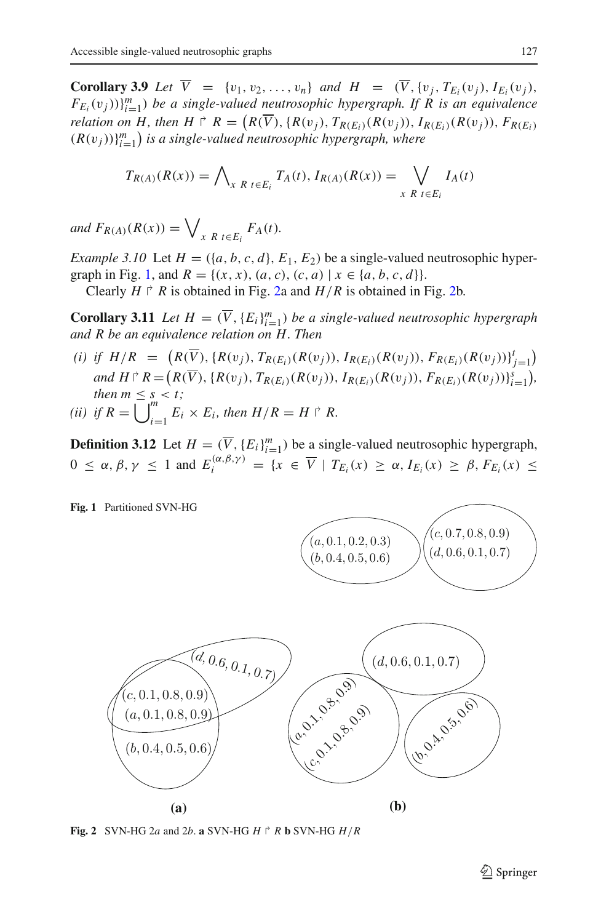**Corollary 3.9** *Let*  $V = \{v_1, v_2, ..., v_n\}$  *and*  $H = (V, \{v_j, T_{E_i}(v_j), I_{E_i}(v_j)\})$  $(F_{E_i}(v_j))_{i=1}^m$ ) *be a single-valued neutrosophic hypergraph. If R is an equivalence relation on H, then H*  $\Gamma$  *R* =  $(R(V), \{R(v_j), T_{R(E_i)}(R(v_j)), I_{R(E_i)}(R(v_j)), F_{R(E_i)}\}$  $(R(v_j))\}_{i=1}^m$  is a single-valued neutrosophic hypergraph, where

$$
T_{R(A)}(R(x)) = \bigwedge_{x \ R \ t \in E_i} T_A(t), I_{R(A)}(R(x)) = \bigvee_{x \ R \ t \in E_i} I_A(t)
$$

*and*  $F_{R(A)}(R(x)) = \bigvee_{x \ R} \sum_{t \in E_i} F_A(t)$ .

<span id="page-6-2"></span>*Example 3.10* Let  $H = (\{a, b, c, d\}, E_1, E_2)$  be a single-valued neutrosophic hyper-graph in Fig. [1,](#page-6-0) and  $R = \{(x, x), (a, c), (c, a) \mid x \in \{a, b, c, d\}\}.$ 

Clearly  $H \rvert R$  is obtained in Fig. [2a](#page-6-1) and  $H/R$  is obtained in Fig. [2b](#page-6-1).

**Corollary 3.11** *Let*  $H = (\overline{V}, \{E_i\}_{i=1}^m)$  *be a single-valued neutrosophic hypergraph and R be an equivalence relation on H. Then*

*(i) if*  $H/R = (R(\overline{V}), \{R(v_j), T_{R(E_i)}(R(v_j)), I_{R(E_i)}(R(v_j)), F_{R(E_i)}(R(v_j))\}_{j=1}^t)$ and  $H \upharpoonright R = (R(\overline{V}), \{R(v_j), T_{R(E_i)}(R(v_j)), I_{R(E_i)}(R(v_j)), F_{R(E_i)}(R(v_j))\}_{i=1}^s),$ *then*  $m \leq s \leq t$ ; *(ii)* if  $R = \overline{\bigcup}_{i=1}^{m}$  $E_i \times E_i$ , then  $H/R = H \rvert R$ .

**Definition 3.12** Let  $H = (\overline{V}, \{E_i\}_{i=1}^m)$  be a single-valued neutrosophic hypergraph,  $0 \le \alpha, \beta, \gamma \le 1$  and  $E_i^{(\alpha, \beta, \gamma)} = \{x \in \overline{V} \mid T_{E_i}(x) \ge \alpha, I_{E_i}(x) \ge \beta, F_{E_i}(x) \le 1\}$ 

 $(a, 0.1, 0.2, 0.3)$ 

<span id="page-6-0"></span>**Fig. 1** Partitioned SVN-HG



<span id="page-6-1"></span>**Fig. 2** SVN-HG 2*a* and 2*b*. **a** SVN-HG *H*  $\uparrow$  *R* **b** SVN-HG *H* / *R* 

 $(c, 0.7, 0.8, 0.9)$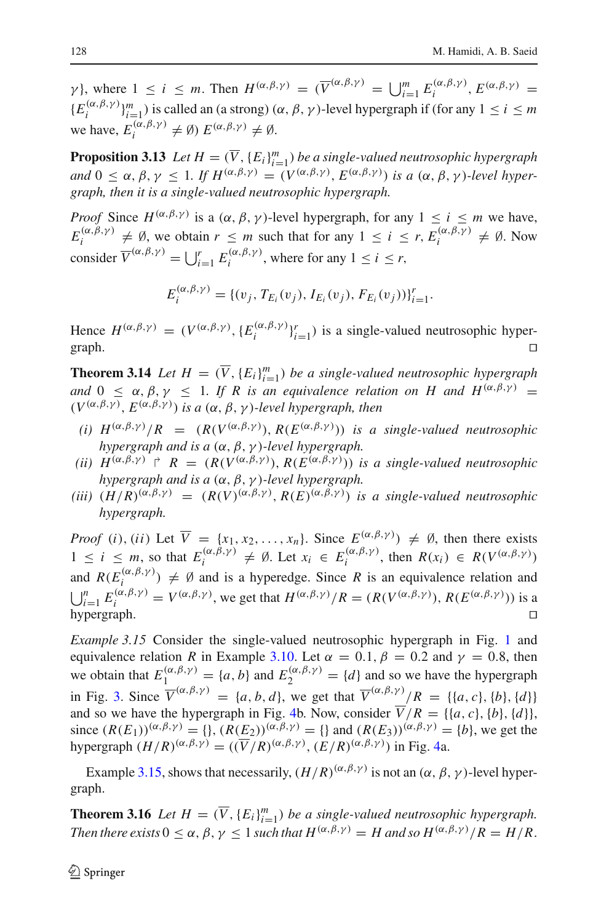$\gamma$ }, where  $1 \leq i \leq m$ . Then  $H^{(\alpha,\beta,\gamma)} = (\overline{V}^{(\alpha,\beta,\gamma)} = \bigcup_{i=1}^{m} E_i^{(\alpha,\beta,\gamma)}$ ,  $E^{(\alpha,\beta,\gamma)} = \bigcup_{i=1}^{m} E_i^{(\alpha,\beta,\gamma)}$  ${E_i^{(\alpha,\beta,\gamma)}\}_{i=1}^m$ ) is called an (a strong)  $(\alpha,\beta,\gamma)$ -level hypergraph if (for any  $1 \le i \le m$ we have,  $E_i^{(\alpha,\beta,\gamma)} \neq \emptyset$ )  $E^{(\alpha,\beta,\gamma)} \neq \emptyset$ .

**Proposition 3.13** *Let*  $H = (\overline{V}, \{E_i\}_{i=1}^m)$  *be a single-valued neutrosophic hypergraph and*  $0 < \alpha, \beta, \gamma < 1$ , If  $H^{(\alpha,\beta,\gamma)} = (V^{(\alpha,\beta,\gamma)}, E^{(\alpha,\beta,\gamma)})$  *is a*  $(\alpha, \beta, \gamma)$ *-level hypergraph, then it is a single-valued neutrosophic hypergraph.*

*Proof* Since  $H^{(\alpha,\beta,\gamma)}$  is a  $(\alpha,\beta,\gamma)$ -level hypergraph, for any  $1 \le i \le m$  we have,  $E_i^{(\alpha,\beta,\gamma)} \neq \emptyset$ , we obtain  $r \leq m$  such that for any  $1 \leq i \leq r$ ,  $E_i^{(\alpha,\beta,\gamma)} \neq \emptyset$ . Now consider  $\overline{V}^{(\alpha,\beta,\gamma)} = \bigcup_{i=1}^r E_i^{(\alpha,\beta,\gamma)}$ , where for any  $1 \le i \le r$ ,

$$
E_i^{(\alpha,\beta,\gamma)} = \{ (v_j, T_{E_i}(v_j), I_{E_i}(v_j), F_{E_i}(v_j)) \}_{i=1}^r.
$$

Hence  $H^{(\alpha,\beta,\gamma)} = (V^{(\alpha,\beta,\gamma)}, \{E_i^{(\alpha,\beta,\gamma)}\}_{i=1}^r)$  is a single-valued neutrosophic hypergraph.  $\Box$ 

**Theorem 3.14** *Let*  $H = (\overline{V}, \{E_i\}_{i=1}^m)$  *be a single-valued neutrosophic hypergraph and*  $0 \leq \alpha, \beta, \gamma \leq 1$ *. If R is an equivalence relation on H and*  $H^{(\alpha,\beta,\gamma)}$  *=* (*V*(α,β,γ ), *E*(α,β,γ )) *is a* (α, β, γ )*-level hypergraph, then*

- *(i)*  $H^{(\alpha,\beta,\gamma)}/R = (R(V^{(\alpha,\beta,\gamma)}), R(E^{(\alpha,\beta,\gamma)}))$  *is a single-valued neutrosophic hypergraph and is a* (α, β, γ )*-level hypergraph.*
- (*ii*)  $H^{(\alpha,\beta,\gamma)} \rvert R = (R(V^{(\alpha,\beta,\gamma)}), R(E^{(\alpha,\beta,\gamma)}))$  *is a single-valued neutrosophic hypergraph and is a* (α, β, γ )*-level hypergraph.*
- (*iii*)  $(H/R)^{(\alpha,\beta,\gamma)} = (R(V)^{(\alpha,\beta,\gamma)}, R(E)^{(\alpha,\beta,\gamma)})$  *is a single-valued neutrosophic hypergraph.*

*Proof* (*i*), (*ii*) Let  $\overline{V} = \{x_1, x_2, ..., x_n\}$ . Since  $E^{(\alpha, \beta, \gamma)} \neq \emptyset$ , then there exists  $1 \leq i \leq m$ , so that  $E_i^{(\alpha,\beta,\gamma)} \neq \emptyset$ . Let  $x_i \in E_i^{(\alpha,\beta,\gamma)}$ , then  $R(x_i) \in R(V^{(\alpha,\beta,\gamma)})$ and  $R(E_i^{(\alpha,\beta,\gamma)}) \neq \emptyset$  and is a hyperedge. Since *R* is an equivalence relation and  $\bigcup_{i=1}^{n} E_i^{(\alpha,\beta,\gamma)} = V^{(\alpha,\beta,\gamma)}$ , we get that  $H^{(\alpha,\beta,\gamma)}/R = (R(V^{(\alpha,\beta,\gamma)}), R(E^{(\alpha,\beta,\gamma)}))$  is a hypergraph.

<span id="page-7-0"></span>*Example 3.[1](#page-6-0)5* Consider the single-valued neutrosophic hypergraph in Fig. 1 and equivalence relation *R* in Example [3.10.](#page-6-2) Let  $\alpha = 0.1$ ,  $\beta = 0.2$  and  $\gamma = 0.8$ , then we obtain that  $E_1^{(\alpha,\beta,\gamma)} = \{a,b\}$  and  $E_2^{(\alpha,\beta,\gamma)} = \{d\}$  and so we have the hypergraph in Fig. [3.](#page-8-0) Since  $\overline{V}^{(\alpha,\beta,\gamma)} = \{a, b, d\}$ , we get that  $\overline{V}^{(\alpha,\beta,\gamma)}/R = \{ \{a, c\}, \{b\}, \{d\} \}$ and so we have the hypergraph in Fig. [4b](#page-8-1). Now, consider  $\overline{V}/R = \{ \{a, c\}, \{b\}, \{d\} \}$ , since  $(R(E_1))^{(\alpha,\beta,\gamma)} = \{\}, (R(E_2))^{(\alpha,\beta,\gamma)} = \{\}$  and  $(R(E_3))^{(\alpha,\beta,\gamma)} = \{b\}$ , we get the hypergraph  $(H/R)^{(\alpha,\beta,\gamma)} = (\overline{(V/R)}^{(\alpha,\beta,\gamma)}, \overline{(E/R)}^{(\alpha,\beta,\gamma)})$  in Fig. [4a](#page-8-1).

Example [3.15,](#page-7-0) shows that necessarily,  $(H/R)^{(\alpha,\beta,\gamma)}$  is not an  $(\alpha,\beta,\gamma)$ -level hypergraph.

**Theorem 3.16** *Let*  $H = (\overline{V}, \{E_i\}_{i=1}^m)$  *be a single-valued neutrosophic hypergraph. Then there exists*  $0 \le \alpha, \beta, \gamma \le 1$  *such that*  $H^{(\alpha,\beta,\gamma)} = H$  *and so*  $H^{(\alpha,\beta,\gamma)}/R = H/R$ .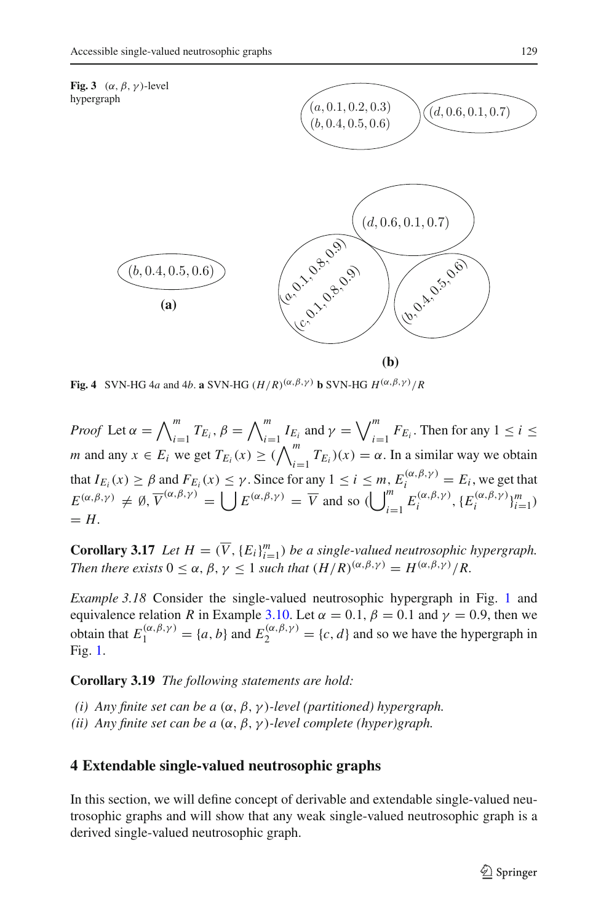<span id="page-8-0"></span>

<span id="page-8-1"></span>**Fig. 4** SVN-HG 4*a* and 4*b*. **a** SVN-HG  $(H/R)^{(\alpha,\beta,\gamma)}$  **b** SVN-HG  $H^{(\alpha,\beta,\gamma)}/R$ 

*Proof* Let  $\alpha = \bigwedge_{i=1}^{m} T_{E_i}, \beta = \bigwedge_{i=1}^{m} I_{E_i}$  and  $\gamma = \bigvee_{i=1}^{m} F_{E_i}$ . Then for any  $1 \leq i \leq n$ *i*=1 *i*=1 *i*=1 *m* and any  $x \in E_i$  we get  $T_{E_i}(x) \geq (\bigwedge_{i=1}^m T_{E_i})(x) = \alpha$ . In a similar way we obtain that  $I_{E_i}(x) \ge \beta$  and  $F_{E_i}(x) \le \gamma$ . Since for any  $1 \le i \le m$ ,  $E_i^{(\alpha,\beta,\gamma)} = E_i$ , we get that  $E^{(\alpha,\beta,\gamma)} \neq \emptyset$ ,  $\overline{V}^{(\alpha,\beta,\gamma)} = \bigcup E^{(\alpha,\beta,\gamma)} = \overline{V}$  and so  $\bigcup_{i=1}^{m}$  $\sum_{i=1}^{m} E_i^{(\alpha,\beta,\gamma)}, \{E_i^{(\alpha,\beta,\gamma)}\}_{i=1}^{m}$  $=$   $H$ .

**Corollary 3.17** *Let*  $H = (\overline{V}, \{E_i\}_{i=1}^m)$  *be a single-valued neutrosophic hypergraph. Then there exists*  $0 \le \alpha, \beta, \gamma \le 1$  *such that*  $(H/R)^{(\alpha,\beta,\gamma)} = H^{(\alpha,\beta,\gamma)}/R$ .

*Example 3.[1](#page-6-0)8* Consider the single-valued neutrosophic hypergraph in Fig. 1 and equivalence relation *R* in Example [3.10.](#page-6-2) Let  $\alpha = 0.1$ ,  $\beta = 0.1$  and  $\gamma = 0.9$ , then we obtain that  $E_1^{(\alpha,\beta,\gamma)} = \{a,b\}$  and  $E_2^{(\alpha,\beta,\gamma)} = \{c,d\}$  and so we have the hypergraph in Fig. [1.](#page-6-0)

**Corollary 3.19** *The following statements are hold:*

*(i) Any finite set can be a* (α, β, γ )*-level (partitioned) hypergraph. (ii) Any finite set can be a* (α, β, γ )*-level complete (hyper)graph.*

### **4 Extendable single-valued neutrosophic graphs**

In this section, we will define concept of derivable and extendable single-valued neutrosophic graphs and will show that any weak single-valued neutrosophic graph is a derived single-valued neutrosophic graph.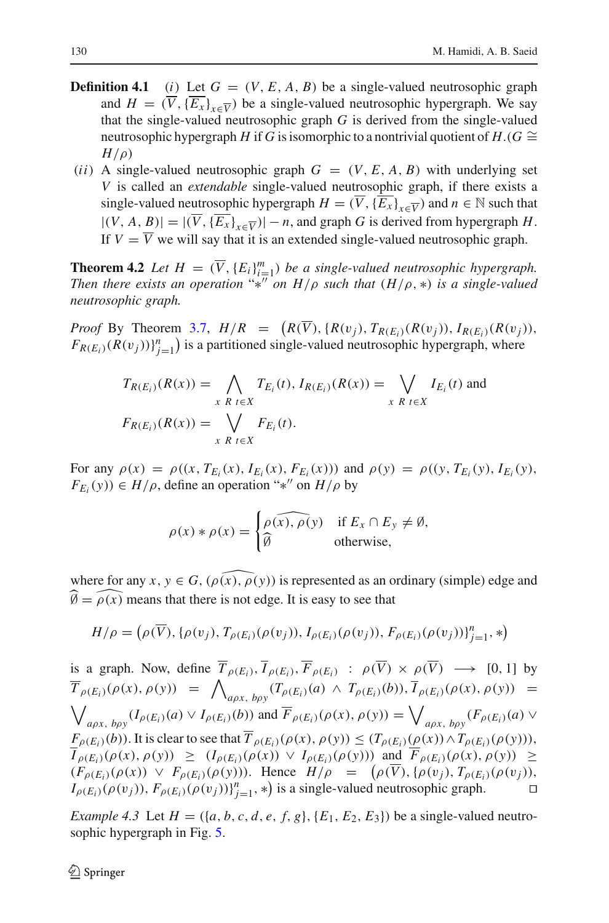- **Definition 4.1** (*i*) Let  $G = (V, E, A, B)$  be a single-valued neutrosophic graph and  $H = (\overline{V}, {\overline{E_x}}_{x \in \overline{V}})$  be a single-valued neutrosophic hypergraph. We say that the single-valued neutrosophic graph *G* is derived from the single-valued neutrosophic hypergraph *H* if *G* is isomorphic to a nontrivial quotient of *H*.(*G*  $\cong$ *H*/ρ)
- (*ii*) A single-valued neutrosophic graph  $G = (V, E, A, B)$  with underlying set *V* is called an *extendable* single-valued neutrosophic graph, if there exists a single-valued neutrosophic hypergraph  $H = (\overline{V}, {\overline{E_x}})_{x \in \overline{V}}$  and  $n \in \mathbb{N}$  such that  $|(V, A, B)| = |(\overline{V}, {\overline{E_x}}_{x \in \overline{V}})| - n$ , and graph *G* is derived from hypergraph *H*. If  $V = \overline{V}$  we will say that it is an extended single-valued neutrosophic graph.

<span id="page-9-0"></span>**Theorem 4.2** *Let*  $H = (\overline{V}, \{E_i\}_{i=1}^m)$  *be a single-valued neutrosophic hypergraph. Then there exists an operation* "\*<sup>*n*</sup> *on H*/*ρ such that*  $(H/\rho, *)$  *is a single-valued neutrosophic graph.*

*Proof* By Theorem [3.7,](#page-5-1)  $H/R = (R(V), \{R(v_j), T_{R(E_i)}(R(v_j)), I_{R(E_i)}(R(v_j)),$  $F_{R(E_i)}(R(v_j))\}_{j=1}^n$  is a partitioned single-valued neutrosophic hypergraph, where

$$
T_{R(E_i)}(R(x)) = \bigwedge_{x \ R \ t \in X} T_{E_i}(t), I_{R(E_i)}(R(x)) = \bigvee_{x \ R \ t \in X} I_{E_i}(t)
$$
 and  

$$
F_{R(E_i)}(R(x)) = \bigvee_{x \ R \ t \in X} F_{E_i}(t).
$$

For any  $\rho(x) = \rho((x, T_{E_i}(x), I_{E_i}(x), F_{E_i}(x)))$  and  $\rho(y) = \rho((y, T_{E_i}(y), I_{E_i}(y)),$  $F_{E_i}(y)$ )  $\in H/\rho$ , define an operation "\*" on  $H/\rho$  by

$$
\rho(x) * \rho(x) = \begin{cases} \rho(x), \rho(y) & \text{if } E_x \cap E_y \neq \emptyset, \\ \widehat{\emptyset} & \text{otherwise,} \end{cases}
$$

where for any  $x, y \in G$ ,  $(\widehat{\rho(x)}, \widehat{\rho(y)})$  is represented as an ordinary (simple) edge and  $\widehat{\emptyset} = \widehat{\rho(x)}$  means that there is not edge. It is easy to see that

$$
H/\rho = (\rho(\overline{V}), {\rho(v_j), T_{\rho(E_i)}(\rho(v_j)), I_{\rho(E_i)}(\rho(v_j)), F_{\rho(E_i)}(\rho(v_j)))}_{j=1}^n, *)
$$

is a graph. Now, define  $\overline{T}_{\rho(E_i)}, \overline{I}_{\rho(E_i)}, \overline{F}_{\rho(E_i)}$  :  $\rho(\overline{V}) \times \rho(\overline{V}) \longrightarrow [0, 1]$  by  $\overline{T}_{\rho(E_i)}(\rho(x), \rho(y)) = \bigwedge_{a \rho x, b \rho y} (T_{\rho(E_i)}(a) \land T_{\rho(E_i)}(b)), \overline{I}_{\rho(E_i)}(\rho(x), \rho(y)) =$  $\bigvee_{a\rho x, b\rho y} (I_{\rho(E_i)}(a) \vee I_{\rho(E_i)}(b))$  and  $\overline{F}_{\rho(E_i)}(\rho(x), \rho(y)) = \bigvee_{a\rho x, b\rho y} (F_{\rho(E_i)}(a) \vee$  $F_{\rho(E_i)}(b)$ ). It is clear to see that  $\overline{T}_{\rho(E_i)}(\rho(x), \rho(y)) \leq (T_{\rho(E_i)}(\rho(x)) \wedge T_{\rho(E_i)}(\rho(y))),$ *I*<sub>ρ(*E<sub>i</sub>*)</sub>(*ρ*(*x*), *ρ*(*y*)) ≥ (*I<sub>ρ(<i>E<sub>i</sub>*)</sub>(*ρ*(*x*)) ∨ *I<sub>ρ(<i>E<sub>i</sub>*)</sub>(*ρ*(*y*))) and  $\overline{F}_{\rho(E_i)}(\rho(x), \rho(y))$  ≥  $(F_{\rho(E_i)}(\rho(x)) \vee F_{\rho(E_i)}(\rho(y)))$ . Hence  $H/\rho = (\rho(V), {\rho(v_j)}, T_{\rho(E_i)}(\rho(v_j)),$  $I_{\rho(E_i)}(\rho(v_j)), F_{\rho(E_i)}(\rho(v_j))\}_{j=1}^n, *$  is a single-valued neutrosophic graph.

*Example 4.3* Let  $H = (\{a, b, c, d, e, f, g\}, \{E_1, E_2, E_3\})$  be a single-valued neutrosophic hypergraph in Fig. [5.](#page-10-0)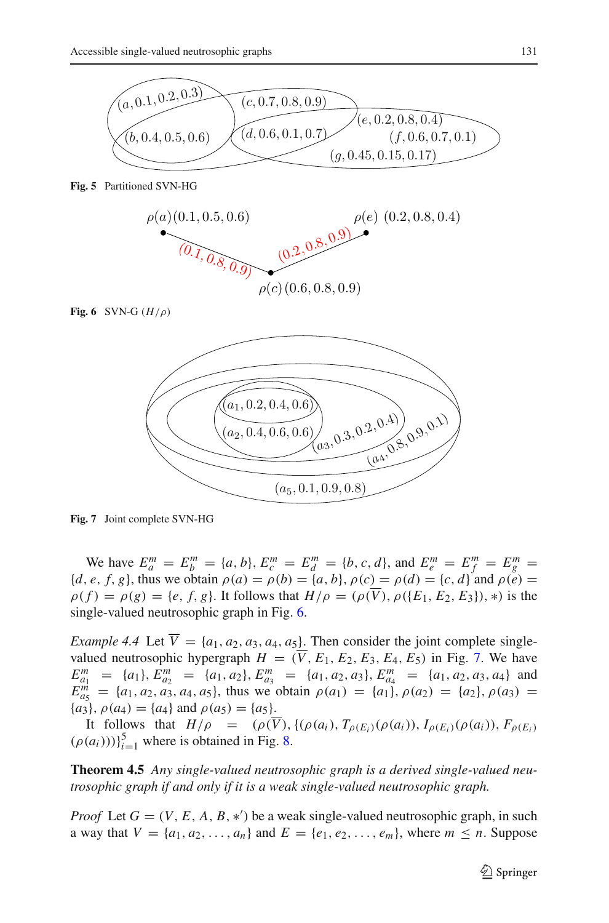

**Fig. 5** Partitioned SVN-HG

<span id="page-10-0"></span>

**Fig. 6** SVN-G  $(H/\rho)$ 

<span id="page-10-1"></span>

<span id="page-10-2"></span>**Fig. 7** Joint complete SVN-HG

We have  $E_a^m = E_b^m = \{a, b\}, E_c^m = E_d^m = \{b, c, d\}, \text{ and } E_e^m = E_f^m = E_g^m =$  ${d, e, f, g}$ , thus we obtain  $\rho(a) = \rho(b) = {a, b}$ ,  $\rho(c) = \rho(d) = {c, d}$  and  $\rho(e) =$  $\rho(f) = \rho(g) = \{e, f, g\}$ . It follows that  $H/\rho = (\rho(\overline{V}), \rho(\{E_1, E_2, E_3\}), *)$  is the single-valued neutrosophic graph in Fig. [6.](#page-10-1)

*Example 4.4* Let  $\overline{V} = \{a_1, a_2, a_3, a_4, a_5\}$ . Then consider the joint complete singlevalued neutrosophic hypergraph  $H = (\overline{V}, E_1, E_2, E_3, E_4, E_5)$  in Fig. [7.](#page-10-2) We have  $E_{a_1}^m = \{a_1\}, E_{a_2}^m = \{a_1, a_2\}, E_{a_3}^m = \{a_1, a_2, a_3\}, E_{a_4}^m = \{a_1, a_2, a_3, a_4\}$  and  $E_{a_5}^{m} = \{a_1, a_2, a_3, a_4, a_5\}$ , thus we obtain  $\rho(a_1) = \{a_1\}$ ,  $\rho(a_2) = \{a_2\}$ ,  $\rho(a_3) =$  ${a_3}, \rho(a_4) = {a_4}$  and  $\rho(a_5) = {a_5}.$ 

It follows that  $H/\rho = (\rho(\overline{V}), \{(\rho(a_i), T_{\rho(E_i)}(\rho(a_i)), I_{\rho(E_i)}(\rho(a_i)), F_{\rho(E_i)}\}$  $(\rho(a_i)))\}_{i=1}^5$  where is obtained in Fig. [8.](#page-11-0)

**Theorem 4.5** *Any single-valued neutrosophic graph is a derived single-valued neutrosophic graph if and only if it is a weak single-valued neutrosophic graph.*

*Proof* Let  $G = (V, E, A, B, *)$  be a weak single-valued neutrosophic graph, in such a way that  $V = \{a_1, a_2, ..., a_n\}$  and  $E = \{e_1, e_2, ..., e_m\}$ , where  $m \le n$ . Suppose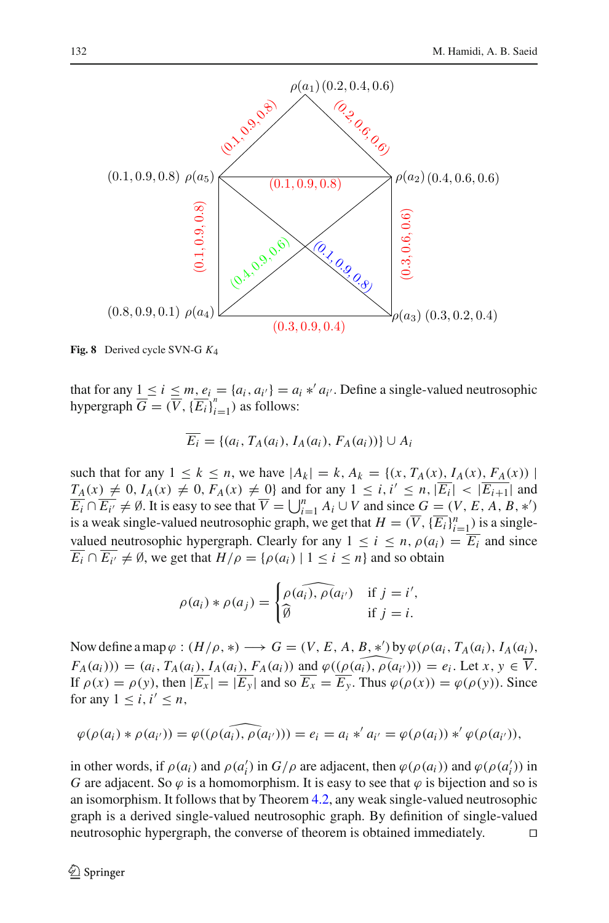

<span id="page-11-0"></span>**Fig. 8** Derived cycle SVN-G *K*4

that for any  $\underline{1} \leq i \leq m$ ,  $e_i = \{a_i, a_{i'}\} = a_i * a_{i'}$ . Define a single-valued neutrosophic hypergraph  $\overline{G} = (\overline{V}, {\{\overline{E_i}\}}_{i=1}^n)$  as follows:

$$
\overline{E_i} = \{(a_i, T_A(a_i), I_A(a_i), F_A(a_i))\} \cup A_i
$$

such that for any  $1 \le k \le n$ , we have  $|A_k| = k$ ,  $A_k = \{(x, T_A(x), I_A(x), F_A(x)) |$  $T_A(x) \neq 0, I_A(x) \neq 0, F_A(x) \neq 0$ } and for any  $1 \leq i, i' \leq n, |\overline{E_i}| < |\overline{E_{i+1}}|$  and  $\overline{E_i} \cap \overline{E_{i'}} \neq \emptyset$ . It is easy to see that  $\overline{V} = \bigcup_{i=1}^n A_i \cup V$  and since  $G = (V, E, A, B, *)$ is a weak single-valued neutrosophic graph, we get that  $H = (\overline{V}, {\{\overline{E_i}\}}_{i=1}^n)$  is a singlevalued neutrosophic hypergraph. Clearly for any  $1 \le i \le n$ ,  $\rho(a_i) = E_i$  and since  $\overline{E_i} \cap \overline{E_{i'}} \neq \emptyset$ , we get that  $H/\rho = {\rho(a_i) | 1 \leq i \leq n}$  and so obtain

$$
\rho(a_i) * \rho(a_j) = \begin{cases} \rho(\widehat{a_i}) , \rho(a_{i'}) & \text{if } j = i', \\ \widehat{\emptyset} & \text{if } j = i. \end{cases}
$$

Now define a map  $\varphi : (H/\rho, *) \longrightarrow G = (V, E, A, B, *)$  by  $\varphi(\rho(a_i, T_A(a_i), I_A(a_i),$  $F_A(a_i)$ )) = (*a<sub>i</sub>*,  $T_A(a_i)$ ,  $I_A(a_i)$ ,  $F_A(a_i)$ ) and  $\varphi((\widehat{\rho(a_i)}, \widehat{\rho(a_{i'}}))) = e_i$ . Let  $x, y \in \overline{V}$ . If  $\rho(x) = \rho(y)$ , then  $|\overline{E_x}| = |\overline{E_y}|$  and so  $\overline{E_x} = \overline{E_y}$ . Thus  $\varphi(\rho(x)) = \varphi(\rho(y))$ . Since for any  $1 \leq i, i' \leq n$ ,

$$
\varphi(\rho(a_i) * \rho(a_{i'})) = \varphi((\rho(\widehat{a_{i}}), \rho(a_{i'}))) = e_i = a_i *' a_{i'} = \varphi(\rho(a_i)) *' \varphi(\rho(a_{i'})),
$$

in other words, if  $\rho(a_i)$  and  $\rho(a'_i)$  in  $G/\rho$  are adjacent, then  $\varphi(\rho(a_i))$  and  $\varphi(\rho(a'_i))$  in *G* are adjacent. So  $\varphi$  is a homomorphism. It is easy to see that  $\varphi$  is bijection and so is an isomorphism. It follows that by Theorem [4.2,](#page-9-0) any weak single-valued neutrosophic graph is a derived single-valued neutrosophic graph. By definition of single-valued neutrosophic hypergraph, the converse of theorem is obtained immediately.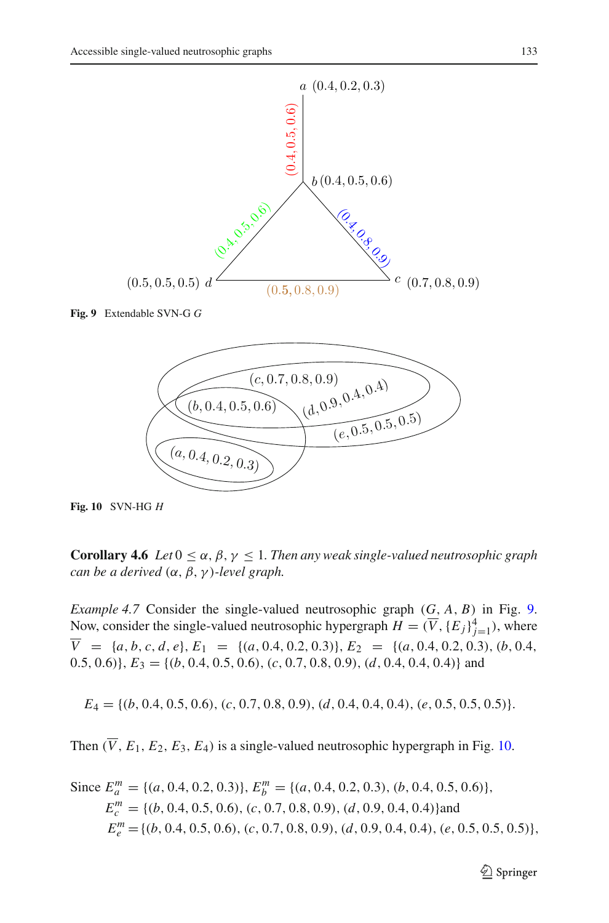

<span id="page-12-0"></span>**Fig. 9** Extendable SVN-G *G*



<span id="page-12-1"></span>**Fig. 10** SVN-HG *H*

**Corollary 4.6** *Let*  $0 \le \alpha, \beta, \gamma \le 1$ *. Then any weak single-valued neutrosophic graph can be a derived* (α, β, γ )*-level graph.*

*Example 4.7* Consider the single-valued neutrosophic graph (*G*, *A*, *B*) in Fig. [9.](#page-12-0) Now, consider the single-valued neutrosophic hypergraph  $H = (\overline{V}, \{E_j\}_{j=1}^4)$ , where  $\overline{V}$  = {*a*, *b*, *c*, *d*, *e*}, *E*<sub>1</sub> = {(*a*, 0.4, 0.2, 0.3)}, *E*<sub>2</sub> = {(*a*, 0.4, 0.2, 0.3), (*b*, 0.4, 0.5, 0.6)},  $E_3 = \{(b, 0.4, 0.5, 0.6), (c, 0.7, 0.8, 0.9), (d, 0.4, 0.4, 0.4)\}\$ and

*E*<sup>4</sup> = {(*b*, 0.4, 0.5, 0.6), (*c*, 0.7, 0.8, 0.9), (*d*, 0.4, 0.4, 0.4), (*e*, 0.5, 0.5, 0.5)}.

Then  $(\overline{V}, E_1, E_2, E_3, E_4)$  is a single-valued neutrosophic hypergraph in Fig. [10.](#page-12-1)

Since 
$$
E_a^m = \{(a, 0.4, 0.2, 0.3)\}
$$
,  $E_b^m = \{(a, 0.4, 0.2, 0.3), (b, 0.4, 0.5, 0.6)\}$ ,  
\n $E_c^m = \{(b, 0.4, 0.5, 0.6), (c, 0.7, 0.8, 0.9), (d, 0.9, 0.4, 0.4)\}$ and  
\n $E_e^m = \{(b, 0.4, 0.5, 0.6), (c, 0.7, 0.8, 0.9), (d, 0.9, 0.4, 0.4), (e, 0.5, 0.5, 0.5)\}$ ,

<sup>2</sup> Springer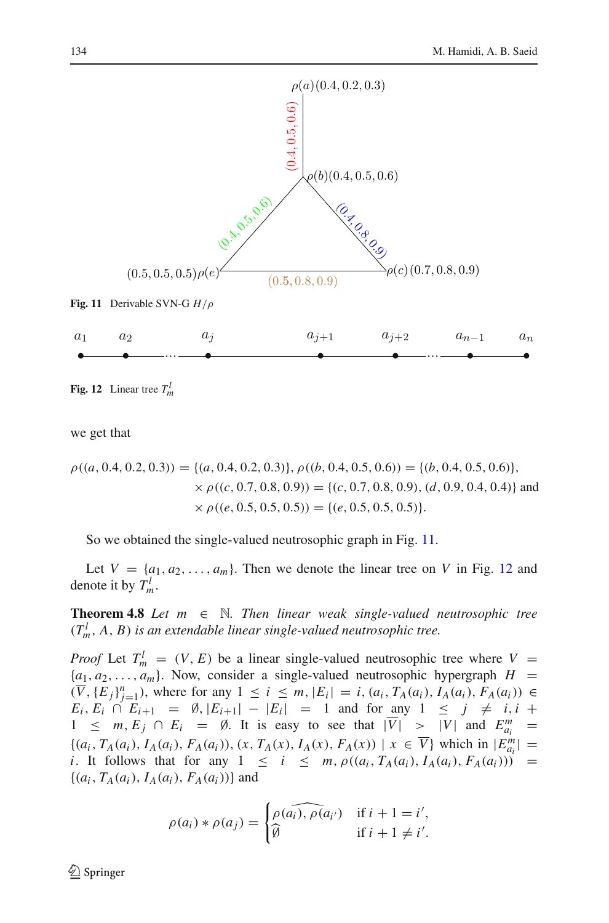

<span id="page-13-1"></span><span id="page-13-0"></span>**Fig. 12** Linear tree  $T_m^l$ 

we get that

$$
\rho((a, 0.4, 0.2, 0.3)) = \{(a, 0.4, 0.2, 0.3)\}, \rho((b, 0.4, 0.5, 0.6)) = \{(b, 0.4, 0.5, 0.6)\},\
$$

$$
\times \rho((c, 0.7, 0.8, 0.9)) = \{(c, 0.7, 0.8, 0.9), (d, 0.9, 0.4, 0.4)\} \text{ and}
$$

$$
\times \rho((e, 0.5, 0.5, 0.5)) = \{(e, 0.5, 0.5, 0.5)\}.
$$

So we obtained the single-valued neutrosophic graph in Fig. [11.](#page-13-0)

Let  $V = \{a_1, a_2, \ldots, a_m\}$ . Then we denote the linear tree on V in Fig. [12](#page-13-1) and denote it by  $T_m^l$ .

**Theorem 4.8** *Let*  $m \in \mathbb{N}$ . *Then linear weak single-valued neutrosophic tree*  $(T_m^l, A, B)$  *is an extendable linear single-valued neutrosophic tree.* 

*Proof* Let  $T_m^l = (V, E)$  be a linear single-valued neutrosophic tree where  $V =$  ${a_1, a_2, \ldots, a_m}$ . Now, consider a single-valued neutrosophic hypergraph  $H =$  $(\overline{V}, {\{E_j\}}_{j=1}^n)$ , where for any  $1 \le i \le m, |E_i| = i, (a_i, T_A(a_i), I_A(a_i), F_A(a_i)) \in$  $E_i, E_i \cap E_{i+1} = \emptyset, |E_{i+1}| - |E_i| = 1$  and for any  $1 \leq j \neq i, i + 1 \leq m, E_j \cap E_i = \emptyset$ . It is easy to see that  $|\overline{V}| > |V|$  and  $E_m^m =$ 1  $\leq$  *m*,  $E_j \cap E_i = \emptyset$ . It is easy to see that  $|\overline{V}| > |V|$  and  $E_{a_i}^m =$  $\{(a_i, T_A(a_i), I_A(a_i), F_A(a_i)), (x, T_A(x), I_A(x), F_A(x)) \mid x \in \overline{V}\}\$  which in  $|E_{a_i}^m|$ *i*. It follows that for any  $1 \le i \le m$ ,  $\rho((a_i, T_A(a_i), I_A(a_i), F_A(a_i)))$  =  $\{(a_i, T_A(a_i), I_A(a_i), F_A(a_i))\}$  and

$$
\rho(a_i) * \rho(a_j) = \begin{cases} \rho(\widehat{a_i}, \rho(a_{i'}) & \text{if } i+1 = i', \\ \widehat{\emptyset} & \text{if } i+1 \neq i'. \end{cases}
$$

 $\mathcal{L}$  Springer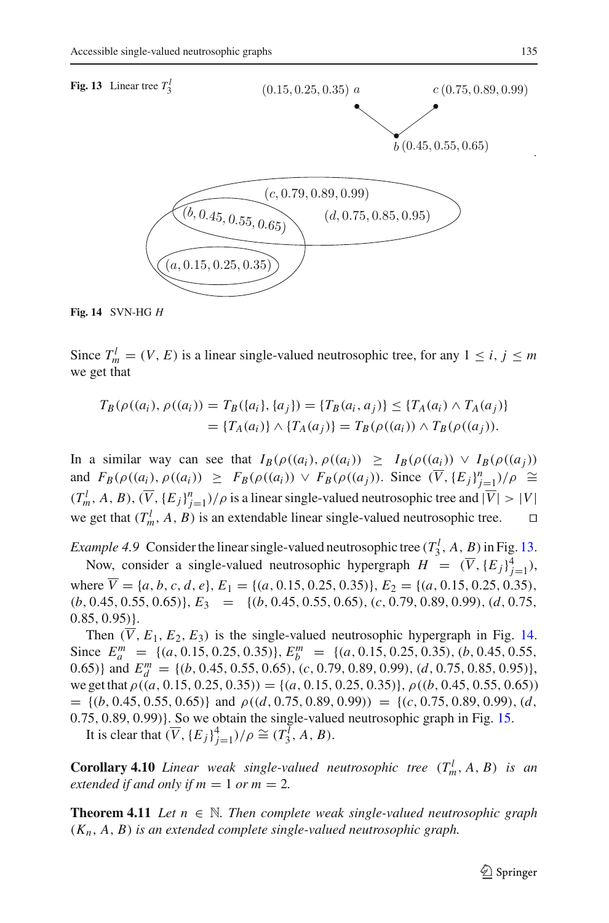<span id="page-14-0"></span>

<span id="page-14-1"></span>**Fig. 14** SVN-HG *H*

Since  $T_m^l = (V, E)$  is a linear single-valued neutrosophic tree, for any  $1 \le i, j \le m$ we get that

$$
T_B(\rho((a_i), \rho((a_i)) = T_B(\{a_i\}, \{a_j\}) = \{T_B(a_i, a_j)\} \leq \{T_A(a_i) \land T_A(a_j)\}
$$
  
=  $\{T_A(a_i)\} \land \{T_A(a_j)\} = T_B(\rho((a_i)) \land T_B(\rho((a_j))).$ 

In a similar way can see that  $I_B(\rho((a_i), \rho((a_i))) \geq I_B(\rho((a_i)) \vee I_B(\rho((a_i)))$ and  $F_B(\rho((a_i), \rho((a_i)) \geq F_B(\rho((a_i)) \vee F_B(\rho((a_j)).$  Since  $(\overline{V}, \{E_j\}_{j=1}^n)/\rho \cong$  $(T_m^l, A, B), (\overline{V}, \{E_j\}_{j=1}^n)/\rho$  is a linear single-valued neutrosophic tree and  $|\overline{V}| > |V|$ we get that  $(T_m^l, A, B)$  is an extendable linear single-valued neutrosophic tree.  $\square$ 

*Example 4.9* Consider the linear single-valued neutrosophic tree  $(T_3^l, A, B)$  in Fig. [13.](#page-14-0)

Now, consider a single-valued neutrosophic hypergraph  $H = (\overline{V}, \{E_j\}_{j=1}^4)$ , where  $\overline{V} = \{a, b, c, d, e\}, E_1 = \{(a, 0.15, 0.25, 0.35)\}, E_2 = \{(a, 0.15, 0.25, 0.35)\}$ (*b*, 0.45, 0.55, 0.65)}, *E*<sup>3</sup> = {(*b*, 0.45, 0.55, 0.65), (*c*, 0.79, 0.89, 0.99), (*d*, 0.75,  $(0.85, 0.95)$ .

Then  $(\overline{V}, E_1, E_2, E_3)$  is the single-valued neutrosophic hypergraph in Fig. [14.](#page-14-1) Since  $E_a^m = \{(a, 0.15, 0.25, 0.35)\}, E_b^m = \{(a, 0.15, 0.25, 0.35), (b, 0.45, 0.55,$ 0.65)} and  $E_d^m = \{(b, 0.45, 0.55, 0.65), (c, 0.79, 0.89, 0.99), (d, 0.75, 0.85, 0.95)\}\,$ we get that  $\rho((a, 0.15, 0.25, 0.35)) = \{(a, 0.15, 0.25, 0.35)\}, \rho((b, 0.45, 0.55, 0.65))$  $= \{(b, 0.45, 0.55, 0.65)\}\$ and  $\rho((d, 0.75, 0.89, 0.99)) = \{(c, 0.75, 0.89, 0.99), (d, 0.99)\}$ 0.75, 0.89, 0.99)}. So we obtain the single-valued neutrosophic graph in Fig. [15.](#page-15-0)

It is clear that  $(\overline{V}, {\{E_j\}}_{j=1}^4)/\rho \cong (T_3^l, A, B)$ .

**Corollary 4.10** *Linear weak single-valued neutrosophic tree*  $(T_m^l, A, B)$  *is an extended if and only if*  $m = 1$  *or*  $m = 2$ *.* 

**Theorem 4.11** *Let*  $n \in \mathbb{N}$ *. Then complete weak single-valued neutrosophic graph* (*Kn*, *A*, *B*) *is an extended complete single-valued neutrosophic graph.*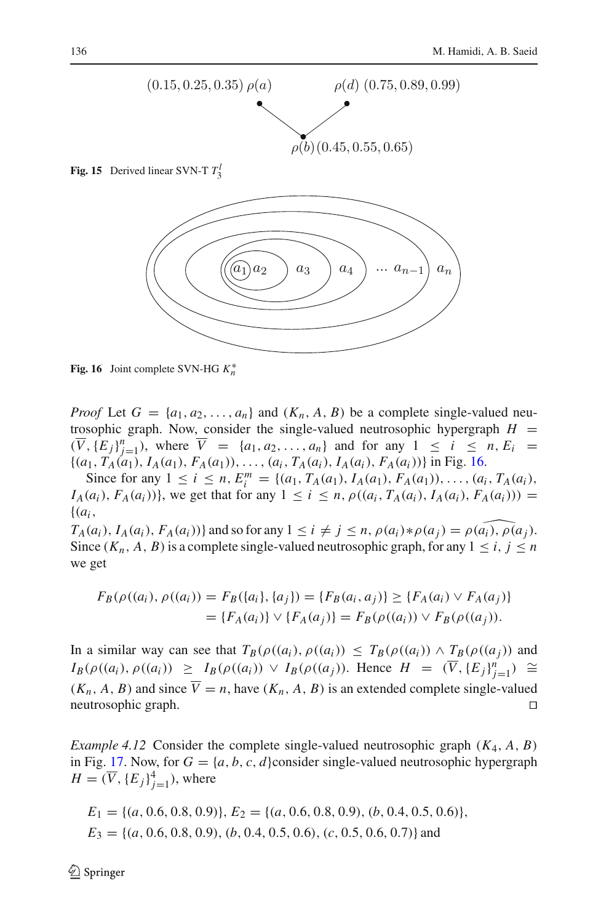

**Fig. 15** Derived linear SVN-T *T<sup>l</sup>* 3

<span id="page-15-0"></span>

<span id="page-15-1"></span>**Fig. 16** Joint complete SVN-HG *K*∗ *n*

*Proof* Let  $G = \{a_1, a_2, \ldots, a_n\}$  and  $(K_n, A, B)$  be a complete single-valued neutrosophic graph. Now, consider the single-valued neutrosophic hypergraph  $H =$  $(\overline{V}, {\{E_j\}}_{j=1}^n)$ , where  $\overline{V} = {a_1, a_2, ..., a_n}$  and for any  $1 \le i \le n, E_i =$  $\{(a_1, T_A(a_1), I_A(a_1), F_A(a_1)), \ldots, (a_i, T_A(a_i), I_A(a_i), F_A(a_i))\}$  in Fig. [16.](#page-15-1)

Since for any  $1 \le i \le n$ ,  $E_i^m = \{(a_1, T_A(a_1), I_A(a_1), F_A(a_1)), \dots, (a_i, T_A(a_i),$ *I<sub>A</sub>*(*a<sub>i</sub>*), *F<sub>A</sub>*(*a<sub>i</sub>*))}, we get that for any  $1 \le i \le n$ ,  $\rho$ ((*a<sub>i</sub>*, *T<sub>A</sub>*(*a<sub>i</sub>*), *I<sub>A</sub>*(*a<sub>i</sub>*), *F<sub>A</sub>*(*a<sub>i</sub>*))) = {(*ai*,

 $T_A(a_i)$ ,  $I_A(a_i)$ ,  $F_A(a_i)$ } and so for any  $1 \leq i \neq j \leq n$ ,  $\rho(a_i) * \rho(a_j) = \rho(\widehat{a_i})$ ,  $\rho(a_j)$ . Since  $(K_n, A, B)$  is a complete single-valued neutrosophic graph, for any  $1 \le i, j \le n$ we get

$$
F_B(\rho((a_i), \rho((a_i)) = F_B(\{a_i\}, \{a_j\}) = \{F_B(a_i, a_j)\} \ge \{F_A(a_i) \vee F_A(a_j)\}
$$
  
=  $\{F_A(a_i)\} \vee \{F_A(a_j)\} = F_B(\rho((a_i)) \vee F_B(\rho((a_j))).$ 

In a similar way can see that  $T_B(\rho((a_i), \rho((a_i))) \leq T_B(\rho((a_i)) \wedge T_B(\rho((a_i)))$  and  $I_B(\rho((a_i), \rho((a_i)) \geq I_B(\rho((a_i)) \vee I_B(\rho((a_j))).$  Hence  $H = (\overline{V}, \{E_j\}_{j=1}^n) \cong$  $(K_n, A, B)$  and since  $\overline{V} = n$ , have  $(K_n, A, B)$  is an extended complete single-valued neutrosophic graph neutrosophic graph.

*Example 4.12* Consider the complete single-valued neutrosophic graph  $(K_4, A, B)$ in Fig. [17.](#page-16-0) Now, for  $G = \{a, b, c, d\}$ consider single-valued neutrosophic hypergraph  $H = (\overline{V}, \{E_j\}_{j=1}^4)$ , where

$$
E_1 = \{(a, 0.6, 0.8, 0.9)\}, E_2 = \{(a, 0.6, 0.8, 0.9), (b, 0.4, 0.5, 0.6)\},
$$
  

$$
E_3 = \{(a, 0.6, 0.8, 0.9), (b, 0.4, 0.5, 0.6), (c, 0.5, 0.6, 0.7)\}\
$$
and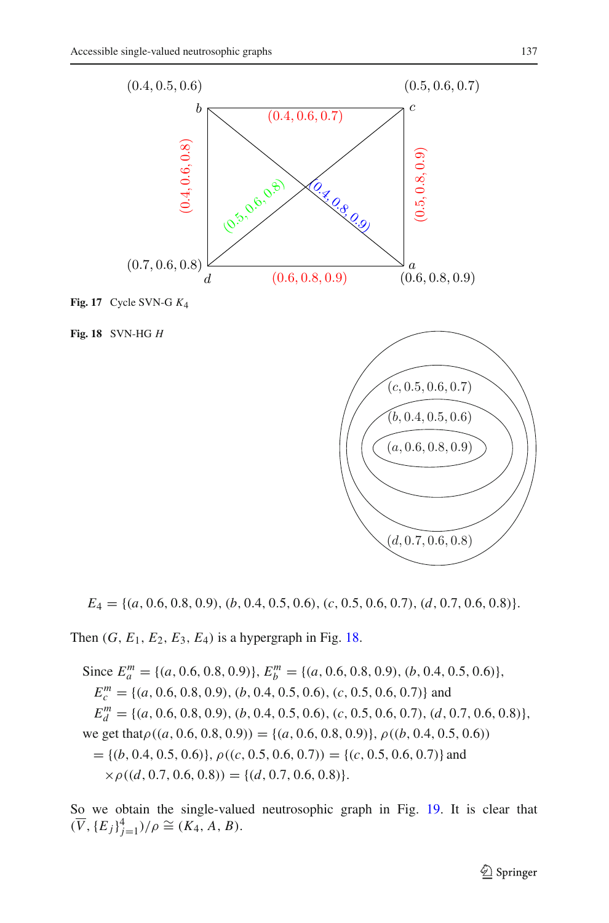

<span id="page-16-0"></span>**Fig. 17** Cycle SVN-G *K*4

<span id="page-16-1"></span>



 $E_4 = \{(a, 0.6, 0.8, 0.9), (b, 0.4, 0.5, 0.6), (c, 0.5, 0.6, 0.7), (d, 0.7, 0.6, 0.8)\}.$ 

Then  $(G, E_1, E_2, E_3, E_4)$  is a hypergraph in Fig. [18.](#page-16-1)

Since  $E_a^m = \{(a, 0.6, 0.8, 0.9)\}, E_b^m = \{(a, 0.6, 0.8, 0.9), (b, 0.4, 0.5, 0.6)\},\$  $E_c^m$  = {(*a*, 0.6, 0.8, 0.9), (*b*, 0.4, 0.5, 0.6), (*c*, 0.5, 0.6, 0.7)} and  $E_d^m$  = {(*a*, 0.6, 0.8, 0.9), (*b*, 0.4, 0.5, 0.6), (*c*, 0.5, 0.6, 0.7), (*d*, 0.7, 0.6, 0.8)}, we get that  $\rho((a, 0.6, 0.8, 0.9)) = \{(a, 0.6, 0.8, 0.9)\}, \rho((b, 0.4, 0.5, 0.6))$  $= \{(b, 0.4, 0.5, 0.6)\}, \rho((c, 0.5, 0.6, 0.7)) = \{(c, 0.5, 0.6, 0.7)\}$  and  $\times \rho((d, 0.7, 0.6, 0.8)) = \{(d, 0.7, 0.6, 0.8)\}.$ 

So we obtain the single-valued neutrosophic graph in Fig. [19.](#page-17-0) It is clear that  $(\overline{V}, {\{E_j\}}_{j=1}^4)/\rho \cong (K_4, A, B).$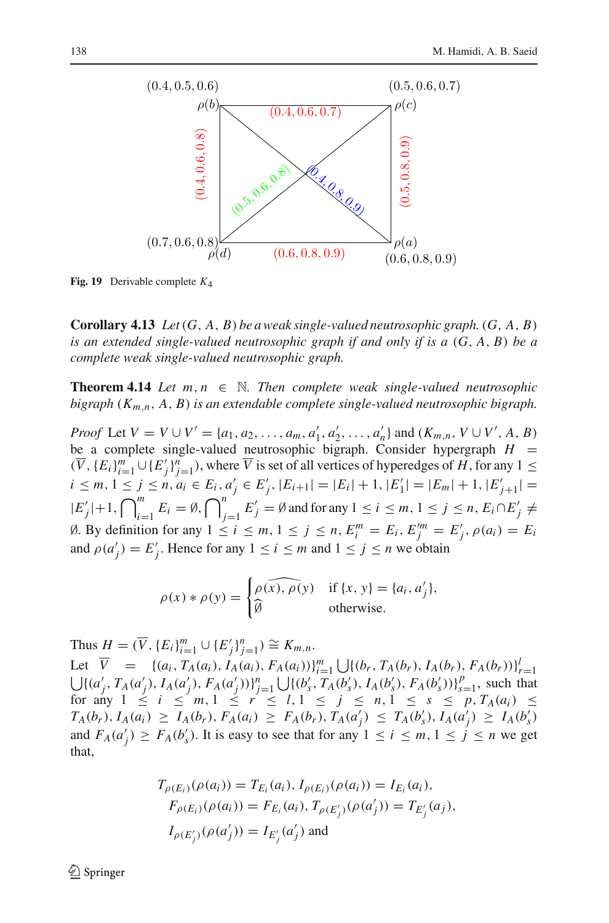

<span id="page-17-0"></span>**Fig. 19** Derivable complete *K*4

**Corollary 4.13** *Let*(*G*, *A*, *B*) *be a weak single-valued neutrosophic graph.*(*G*, *A*, *B*) *is an extended single-valued neutrosophic graph if and only if is a* (*G*, *A*, *B*) *be a complete weak single-valued neutrosophic graph.*

**Theorem 4.14** *Let*  $m, n \in \mathbb{N}$ *. Then complete weak single-valued neutrosophic bigraph* (*Km*,*n*, *A*, *B*) *is an extendable complete single-valued neutrosophic bigraph.*

*Proof* Let  $V = V \cup V' = \{a_1, a_2, ..., a_m, a'_1, a'_2, ..., a'_n\}$  and  $(K_{m,n}, V \cup V', A, B)$ be a complete single-valued neutrosophic bigraph. Consider hypergraph  $H =$  $(\overline{V}, {\{E_i\}}_{i=1}^m \cup {\{E'_j\}}_{j=1}^n)$ , where  $\overline{V}$  is set of all vertices of hyperedges of *H*, for any 1 ≤  $i \leq m, 1 \leq j \leq n, a_i \in E_i, a'_j \in E'_j, |E_{i+1}| = |E_i| + 1, |E'_1| = |E_m| + 1, |E'_{j+1}| =$  $|E'_j|+1, \bigcap_{i=1}^m$  $\sum_{i=1}^{m} E_i = \emptyset, \bigcap_{j=1}^{n}$ *j*=1  $E'_j = \emptyset$  and for any  $1 \le i \le m, 1 \le j \le n, E_i \cap E'_j \ne$ Ø. By definition for any  $1 \le i \le m, 1 \le j \le n, E_i^m = E_i, E_j^m = E_j^j, ρ(a_i) = E_i$ and  $\rho(a'_j) = E'_j$ . Hence for any  $1 \le i \le m$  and  $1 \le j \le n$  we obtain

$$
\rho(x) * \rho(y) = \begin{cases} \rho(\widehat{x}), \rho(y) & \text{if } \{x, y\} = \{a_i, a'_j\}, \\ \widehat{\emptyset} & \text{otherwise.} \end{cases}
$$

Thus  $H = (\overline{V}, \{E_i\}_{i=1}^m \cup \{E'_j\}_{j=1}^n) \cong K_{m,n}$ .

Let  $\overline{V}$  = { $(a_i, T_A(a_i), I_A(a_i), F_A(a_i))$ } $\sum_{i=1}^m \bigcup \{(b_r, T_A(b_r), I_A(b_r), F_A(b_r))\}_{r=1}^l$  $\bigcup \{(a'_j, T_A(a'_j), I_A(a'_j), F_A(a'_j))\}_{j=1}^n \bigcup \{(b'_s, T_A(b'_s), I_A(b'_s), F_A(b'_s))\}_{s=1}^p$ , such that for any  $1 \le i \le m, 1 \le r \le l, 1 \le j \le n, 1 \le s \le p, T_A(a_i) \le$  $T_A(b_r), I_A(a_i) \geq I_A(b_r), F_A(a_i) \geq F_A(b_r), T_A(a'_j) \leq T_A(b'_s), I_A(a'_j) \geq I_A(b'_s)$ and  $F_A(a'_j) \ge F_A(b'_s)$ . It is easy to see that for any  $1 \le i \le m, 1 \le j \le n$  we get that,

$$
T_{\rho(E_i)}(\rho(a_i)) = T_{E_i}(a_i), I_{\rho(E_i)}(\rho(a_i)) = I_{E_i}(a_i),
$$
  
\n
$$
F_{\rho(E_i)}(\rho(a_i)) = F_{E_i}(a_i), T_{\rho(E'_j)}(\rho(a'_j)) = T_{E'_j}(a_j),
$$
  
\n
$$
I_{\rho(E'_j)}(\rho(a'_j)) = I_{E'_j}(a'_j) \text{ and}
$$

≰ Springer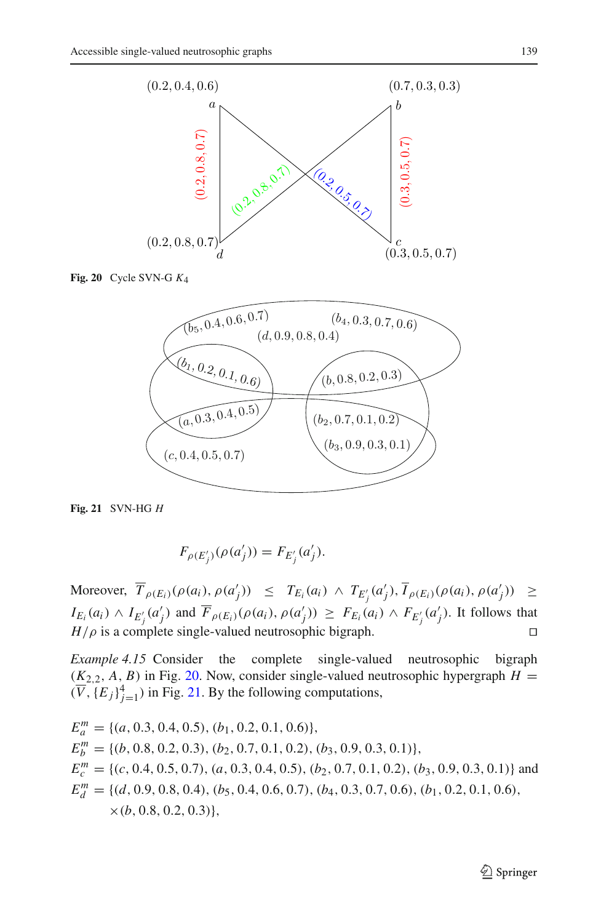

**Fig. 20** Cycle SVN-G *K*4

<span id="page-18-0"></span>

<span id="page-18-1"></span>**Fig. 21** SVN-HG *H*

$$
F_{\rho(E'_{j})}(\rho(a'_{j})) = F_{E'_{j}}(a'_{j}).
$$

 $\text{Moreover, } T_{\rho(E_i)}(\rho(a_i), \rho(a'_j))$  ≤  $T_{E_i}(a_i)$  ∧  $T_{E'_j}(a'_j)$ ,  $I_{\rho(E_i)}(\rho(a_i), \rho(a'_j))$  ≥  $I_{E_i}(a_i) \wedge I_{E'_j}(a'_j)$  and  $F_{\rho(E_i)}(\rho(a_i), \rho(a'_j)) \geq F_{E_i}(a_i) \wedge F_{E'_j}(a'_j)$ . It follows that  $H/\rho$  is a complete single-valued neutrosophic bigraph.

*Example 4.15* Consider the complete single-valued neutrosophic bigraph  $(K_{2,2}, A, B)$  in Fig. [20.](#page-18-0) Now, consider single-valued neutrosophic hypergraph  $H =$  $(\overline{V}, {\{E_j\}}_{j=1}^4)$  in Fig. [21.](#page-18-1) By the following computations,

 $E_a^m$  = {(*a*, 0.3, 0.4, 0.5), (*b*<sub>1</sub>, 0.2, 0.1, 0.6)},  $E_b^m = \{(b, 0.8, 0.2, 0.3), (b_2, 0.7, 0.1, 0.2), (b_3, 0.9, 0.3, 0.1)\},\$  $E_c^m$  = {(*c*, 0.4, 0.5, 0.7), (*a*, 0.3, 0.4, 0.5), (*b*<sub>2</sub>, 0.7, 0.1, 0.2), (*b*<sub>3</sub>, 0.9, 0.3, 0.1)} and  $E_d^m$  = {(*d*, 0.9, 0.8, 0.4), (*b*<sub>5</sub>, 0.4, 0.6, 0.7), (*b*<sub>4</sub>, 0.3, 0.7, 0.6), (*b*<sub>1</sub>, 0.2, 0.1, 0.6),  $\times$ (*b*, 0.8, 0.2, 0.3)},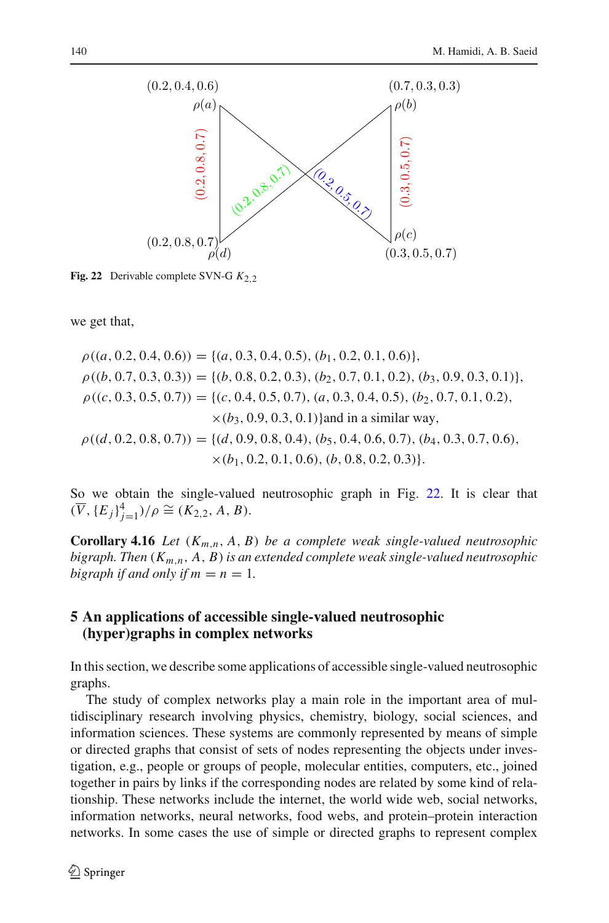

<span id="page-19-0"></span>**Fig. 22** Derivable complete SVN-G  $K_2$  2

we get that,

$$
\rho((a, 0.2, 0.4, 0.6)) = \{(a, 0.3, 0.4, 0.5), (b_1, 0.2, 0.1, 0.6)\},
$$
  
\n
$$
\rho((b, 0.7, 0.3, 0.3)) = \{(b, 0.8, 0.2, 0.3), (b_2, 0.7, 0.1, 0.2), (b_3, 0.9, 0.3, 0.1)\},
$$
  
\n
$$
\rho((c, 0.3, 0.5, 0.7)) = \{(c, 0.4, 0.5, 0.7), (a, 0.3, 0.4, 0.5), (b_2, 0.7, 0.1, 0.2), \times (b_3, 0.9, 0.3, 0.1)\}\n\text{and in a similar way,}
$$
  
\n
$$
\rho((d, 0.2, 0.8, 0.7)) = \{(d, 0.9, 0.8, 0.4), (b_5, 0.4, 0.6, 0.7), (b_4, 0.3, 0.7, 0.6), \times (b_1, 0.2, 0.1, 0.6), (b, 0.8, 0.2, 0.3)\}.
$$

So we obtain the single-valued neutrosophic graph in Fig. [22.](#page-19-0) It is clear that  $(\overline{V}, {\{E_j\}}_{j=1}^4)/\rho \cong (K_{2,2}, A, B).$ 

**Corollary 4.16** *Let*  $(K_{m,n}, A, B)$  *be a complete weak single-valued neutrosophic bigraph. Then* (*Km*,*n*, *A*, *B*) *is an extended complete weak single-valued neutrosophic bigraph if and only if*  $m = n = 1$ .

### **5 An applications of accessible single-valued neutrosophic (hyper)graphs in complex networks**

In this section, we describe some applications of accessible single-valued neutrosophic graphs.

The study of complex networks play a main role in the important area of multidisciplinary research involving physics, chemistry, biology, social sciences, and information sciences. These systems are commonly represented by means of simple or directed graphs that consist of sets of nodes representing the objects under investigation, e.g., people or groups of people, molecular entities, computers, etc., joined together in pairs by links if the corresponding nodes are related by some kind of relationship. These networks include the internet, the world wide web, social networks, information networks, neural networks, food webs, and protein–protein interaction networks. In some cases the use of simple or directed graphs to represent complex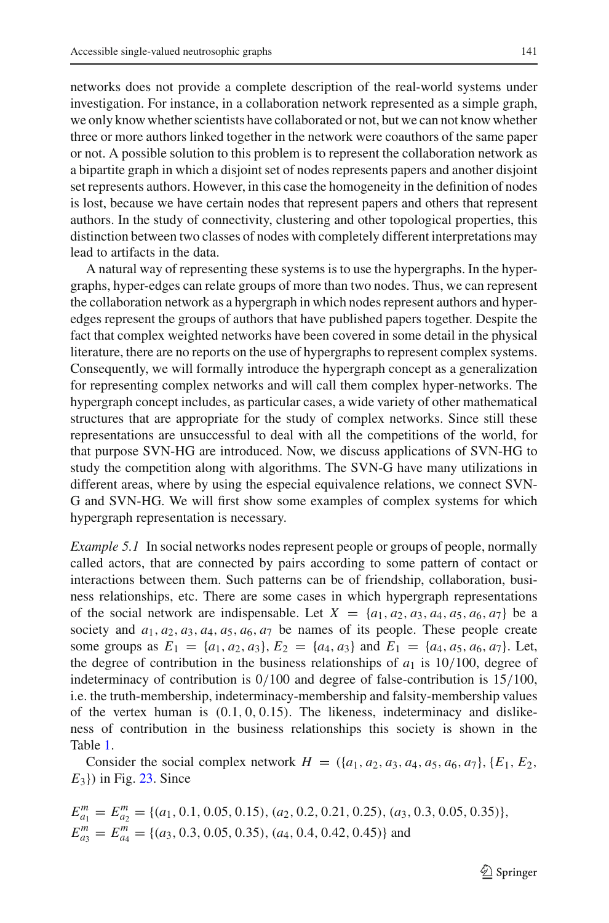networks does not provide a complete description of the real-world systems under investigation. For instance, in a collaboration network represented as a simple graph, we only know whether scientists have collaborated or not, but we can not know whether three or more authors linked together in the network were coauthors of the same paper or not. A possible solution to this problem is to represent the collaboration network as a bipartite graph in which a disjoint set of nodes represents papers and another disjoint set represents authors. However, in this case the homogeneity in the definition of nodes is lost, because we have certain nodes that represent papers and others that represent authors. In the study of connectivity, clustering and other topological properties, this distinction between two classes of nodes with completely different interpretations may lead to artifacts in the data.

A natural way of representing these systems is to use the hypergraphs. In the hypergraphs, hyper-edges can relate groups of more than two nodes. Thus, we can represent the collaboration network as a hypergraph in which nodes represent authors and hyperedges represent the groups of authors that have published papers together. Despite the fact that complex weighted networks have been covered in some detail in the physical literature, there are no reports on the use of hypergraphs to represent complex systems. Consequently, we will formally introduce the hypergraph concept as a generalization for representing complex networks and will call them complex hyper-networks. The hypergraph concept includes, as particular cases, a wide variety of other mathematical structures that are appropriate for the study of complex networks. Since still these representations are unsuccessful to deal with all the competitions of the world, for that purpose SVN-HG are introduced. Now, we discuss applications of SVN-HG to study the competition along with algorithms. The SVN-G have many utilizations in different areas, where by using the especial equivalence relations, we connect SVN-G and SVN-HG. We will first show some examples of complex systems for which hypergraph representation is necessary.

*Example 5.1* In social networks nodes represent people or groups of people, normally called actors, that are connected by pairs according to some pattern of contact or interactions between them. Such patterns can be of friendship, collaboration, business relationships, etc. There are some cases in which hypergraph representations of the social network are indispensable. Let  $X = \{a_1, a_2, a_3, a_4, a_5, a_6, a_7\}$  be a society and  $a_1, a_2, a_3, a_4, a_5, a_6, a_7$  be names of its people. These people create some groups as  $E_1 = \{a_1, a_2, a_3\}, E_2 = \{a_4, a_3\}$  and  $E_1 = \{a_4, a_5, a_6, a_7\}.$  Let, the degree of contribution in the business relationships of  $a_1$  is 10/100, degree of indeterminacy of contribution is 0/100 and degree of false-contribution is 15/100, i.e. the truth-membership, indeterminacy-membership and falsity-membership values of the vertex human is  $(0.1, 0, 0.15)$ . The likeness, indeterminacy and dislikeness of contribution in the business relationships this society is shown in the Table [1.](#page-21-0)

Consider the social complex network  $H = (\{a_1, a_2, a_3, a_4, a_5, a_6, a_7\}, \{E_1, E_2,$ *E*<sub>3</sub>}) in Fig. [23.](#page-21-1) Since

$$
E_{a_1}^m = E_{a_2}^m = \{(a_1, 0.1, 0.05, 0.15), (a_2, 0.2, 0.21, 0.25), (a_3, 0.3, 0.05, 0.35)\},
$$
  
\n
$$
E_{a_3}^m = E_{a_4}^m = \{(a_3, 0.3, 0.05, 0.35), (a_4, 0.4, 0.42, 0.45)\}
$$
 and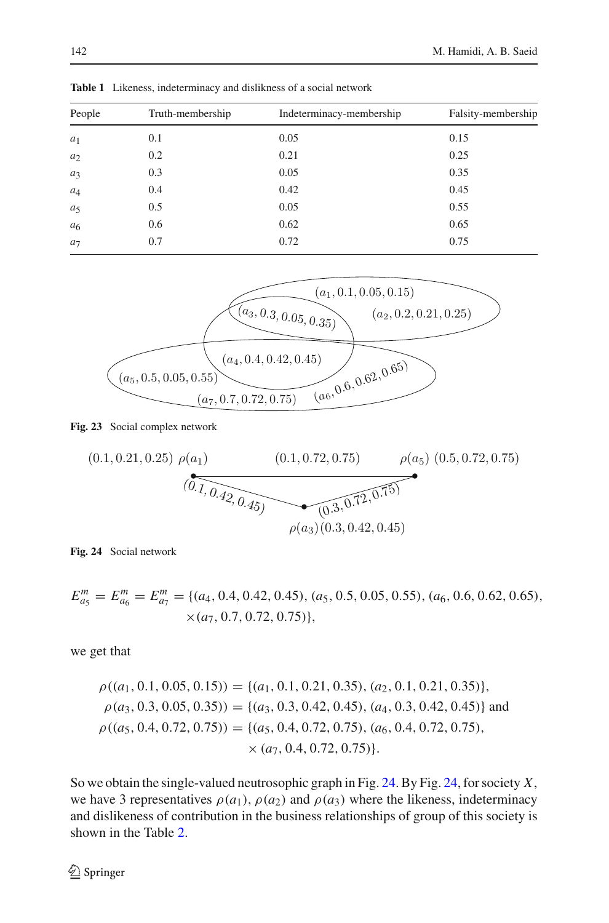| People         | Truth-membership | Indeterminacy-membership | Falsity-membership |  |
|----------------|------------------|--------------------------|--------------------|--|
| $a_1$          | 0.1              | 0.05                     | 0.15               |  |
| a <sub>2</sub> | 0.2              | 0.21                     | 0.25               |  |
| $a_3$          | 0.3              | 0.05                     | 0.35               |  |
| $a_4$          | 0.4              | 0.42                     | 0.45               |  |
| $a_5$          | 0.5              | 0.05                     | 0.55               |  |
| a <sub>6</sub> | 0.6              | 0.62                     | 0.65               |  |
| a <sub>7</sub> | 0.7              | 0.72                     | 0.75               |  |
|                |                  |                          |                    |  |

<span id="page-21-0"></span>**Table 1** Likeness, indeterminacy and dislikness of a social network



#### **Fig. 23** Social complex network

<span id="page-21-1"></span>
$$
(0.1, 0.21, 0.25) \rho(a_1) \qquad (0.1, 0.72, 0.75) \qquad \rho(a_5) (0.5, 0.72, 0.75)
$$
\n
$$
(0.1, 0.72, 0.75) \qquad \rho(a_5) (0.5, 0.72, 0.75)
$$
\n
$$
(0.3, 0.72, 0.75) \qquad (0.3, 0.72, 0.45)
$$

<span id="page-21-2"></span>**Fig. 24** Social network

 $E_{a_5}^m = E_{a_6}^m = E_{a_7}^m = \{(a_4, 0.4, 0.42, 0.45), (a_5, 0.5, 0.05, 0.55), (a_6, 0.6, 0.62, 0.65),$  $\times$ (*a*<sub>7</sub>, 0.7, 0.72, 0.75)},

we get that

$$
\rho((a_1, 0.1, 0.05, 0.15)) = \{(a_1, 0.1, 0.21, 0.35), (a_2, 0.1, 0.21, 0.35)\},
$$
  
\n
$$
\rho(a_3, 0.3, 0.05, 0.35)) = \{(a_3, 0.3, 0.42, 0.45), (a_4, 0.3, 0.42, 0.45)\} \text{ and }
$$
  
\n
$$
\rho((a_5, 0.4, 0.72, 0.75)) = \{(a_5, 0.4, 0.72, 0.75), (a_6, 0.4, 0.72, 0.75), (a_7, 0.4, 0.72, 0.75)\}
$$

So we obtain the single-valued neutrosophic graph in Fig. [24.](#page-21-2) By Fig. [24,](#page-21-2) for society *X*, we have 3 representatives  $\rho(a_1)$ ,  $\rho(a_2)$  and  $\rho(a_3)$  where the likeness, indeterminacy and dislikeness of contribution in the business relationships of group of this society is shown in the Table [2.](#page-22-0)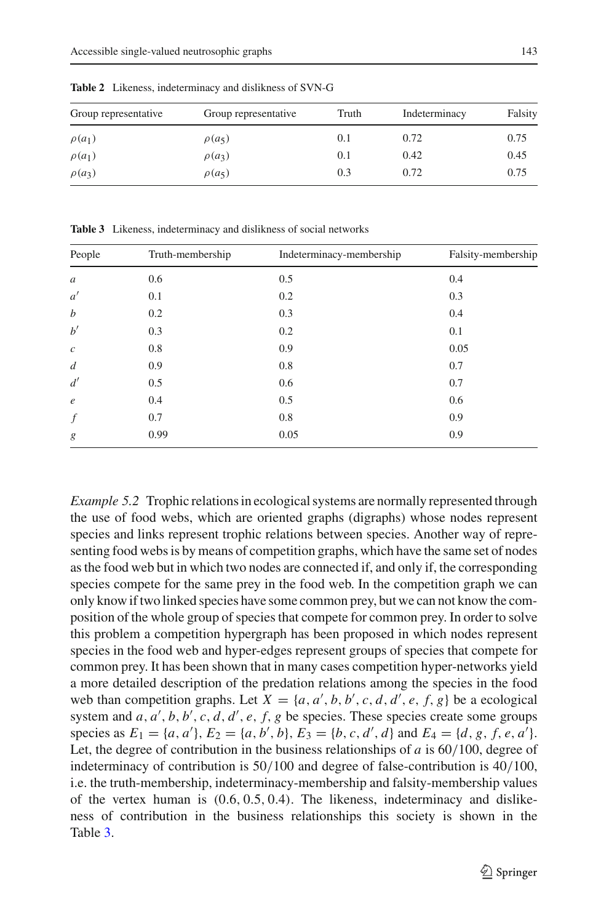| Group representative | Group representative | Truth | Indeterminacy | Falsity |
|----------------------|----------------------|-------|---------------|---------|
| $\rho(a_1)$          | $\rho(a_5)$          | 0.1   | 0.72          | 0.75    |
| $\rho(a_1)$          | $\rho(a_3)$          | 0.1   | 0.42          | 0.45    |
| $\rho(a_3)$          | $\rho(a_5)$          | 0.3   | 0.72          | 0.75    |

<span id="page-22-0"></span>**Table 2** Likeness, indeterminacy and dislikness of SVN-G

<span id="page-22-1"></span>**Table 3** Likeness, indeterminacy and dislikness of social networks

| People           | Truth-membership | Indeterminacy-membership | Falsity-membership |  |
|------------------|------------------|--------------------------|--------------------|--|
| $\boldsymbol{a}$ | 0.6              | 0.5                      | 0.4                |  |
| $a^{\prime}$     | 0.1              | 0.2                      | 0.3                |  |
| $\boldsymbol{b}$ | 0.2              | 0.3                      | 0.4                |  |
| b'               | 0.3              | 0.2                      | 0.1                |  |
| $\boldsymbol{c}$ | 0.8              | 0.9                      | 0.05               |  |
| $\boldsymbol{d}$ | 0.9              | 0.8                      | 0.7                |  |
| d'               | 0.5              | 0.6                      | 0.7                |  |
| $\boldsymbol{e}$ | 0.4              | 0.5                      | 0.6                |  |
| $\boldsymbol{f}$ | 0.7              | 0.8                      | 0.9                |  |
| g                | 0.99             | 0.05                     | 0.9                |  |

*Example 5.2* Trophic relations in ecological systems are normally represented through the use of food webs, which are oriented graphs (digraphs) whose nodes represent species and links represent trophic relations between species. Another way of representing food webs is by means of competition graphs, which have the same set of nodes as the food web but in which two nodes are connected if, and only if, the corresponding species compete for the same prey in the food web. In the competition graph we can only know if two linked species have some common prey, but we can not know the composition of the whole group of species that compete for common prey. In order to solve this problem a competition hypergraph has been proposed in which nodes represent species in the food web and hyper-edges represent groups of species that compete for common prey. It has been shown that in many cases competition hyper-networks yield a more detailed description of the predation relations among the species in the food web than competition graphs. Let  $X = \{a, a', b, b', c, d, d', e, f, g\}$  be a ecological system and *a*, *a'*, *b*, *b'*, *c*, *d*, *d'*, *e*, *f*, *g* be species. These species create some groups species as  $E_1 = \{a, a'\}, E_2 = \{a, b', b\}, E_3 = \{b, c, d', d\}$  and  $E_4 = \{d, g, f, e, a'\}.$ Let, the degree of contribution in the business relationships of *a* is 60/100, degree of indeterminacy of contribution is 50/100 and degree of false-contribution is 40/100, i.e. the truth-membership, indeterminacy-membership and falsity-membership values of the vertex human is (0.6, 0.5, 0.4). The likeness, indeterminacy and dislikeness of contribution in the business relationships this society is shown in the Table [3.](#page-22-1)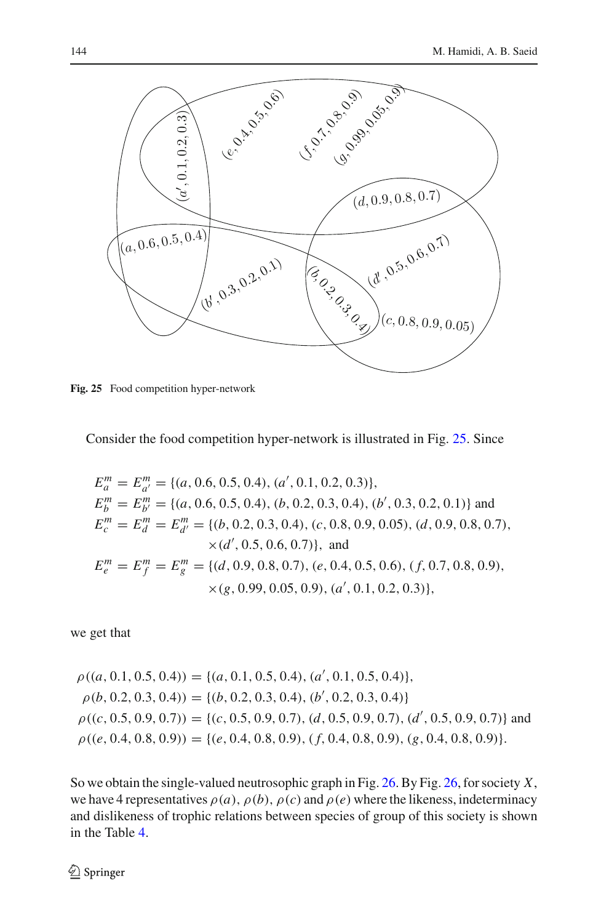

<span id="page-23-0"></span>**Fig. 25** Food competition hyper-network

Consider the food competition hyper-network is illustrated in Fig. [25.](#page-23-0) Since

$$
E_a^m = E_{a'}^m = \{(a, 0.6, 0.5, 0.4), (a', 0.1, 0.2, 0.3)\},
$$
  
\n
$$
E_b^m = E_{b'}^m = \{(a, 0.6, 0.5, 0.4), (b, 0.2, 0.3, 0.4), (b', 0.3, 0.2, 0.1)\}\
$$
and  
\n
$$
E_c^m = E_d^m = E_{d'}^m = \{(b, 0.2, 0.3, 0.4), (c, 0.8, 0.9, 0.05), (d, 0.9, 0.8, 0.7),
$$
  
\n
$$
\times (d', 0.5, 0.6, 0.7)\},
$$
and  
\n
$$
E_e^m = E_f^m = E_g^m = \{(d, 0.9, 0.8, 0.7), (e, 0.4, 0.5, 0.6), (f, 0.7, 0.8, 0.9),
$$
  
\n
$$
\times (g, 0.99, 0.05, 0.9), (a', 0.1, 0.2, 0.3)\},
$$

we get that

$$
\rho((a, 0.1, 0.5, 0.4)) = \{(a, 0.1, 0.5, 0.4), (a', 0.1, 0.5, 0.4)\},
$$
  
\n
$$
\rho(b, 0.2, 0.3, 0.4)) = \{(b, 0.2, 0.3, 0.4), (b', 0.2, 0.3, 0.4)\}
$$
  
\n
$$
\rho((c, 0.5, 0.9, 0.7)) = \{(c, 0.5, 0.9, 0.7), (d, 0.5, 0.9, 0.7), (d', 0.5, 0.9, 0.7)\}
$$
 and  
\n
$$
\rho((e, 0.4, 0.8, 0.9)) = \{(e, 0.4, 0.8, 0.9), (f, 0.4, 0.8, 0.9), (g, 0.4, 0.8, 0.9)\}.
$$

So we obtain the single-valued neutrosophic graph in Fig. [26.](#page-24-0) By Fig. [26,](#page-24-0) for society *X*, we have 4 representatives  $\rho(a)$ ,  $\rho(b)$ ,  $\rho(c)$  and  $\rho(e)$  where the likeness, indeterminacy and dislikeness of trophic relations between species of group of this society is shown in the Table [4.](#page-24-1)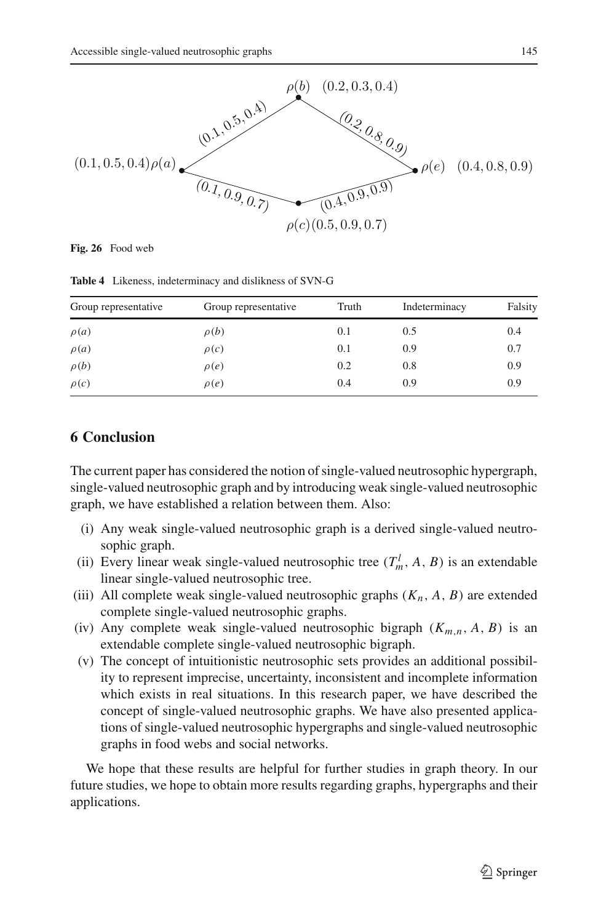

<span id="page-24-0"></span>**Fig. 26** Food web

<span id="page-24-1"></span>

| Group representative | Group representative | Truth | Indeterminacy | Falsity |
|----------------------|----------------------|-------|---------------|---------|
| $\rho(a)$            | $\rho(b)$            | 0.1   | 0.5           | 0.4     |
| $\rho(a)$            | $\rho(c)$            | 0.1   | 0.9           | 0.7     |
| $\rho(b)$            | $\rho(e)$            | 0.2   | 0.8           | 0.9     |
| $\rho(c)$            | $\rho(e)$            | 0.4   | 0.9           | 0.9     |

**Table 4** Likeness, indeterminacy and dislikness of SVN-G

### **6 Conclusion**

The current paper has considered the notion of single-valued neutrosophic hypergraph, single-valued neutrosophic graph and by introducing weak single-valued neutrosophic graph, we have established a relation between them. Also:

- (i) Any weak single-valued neutrosophic graph is a derived single-valued neutrosophic graph.
- (ii) Every linear weak single-valued neutrosophic tree  $(T_m^l, A, B)$  is an extendable linear single-valued neutrosophic tree.
- (iii) All complete weak single-valued neutrosophic graphs  $(K_n, A, B)$  are extended complete single-valued neutrosophic graphs.
- (iv) Any complete weak single-valued neutrosophic bigraph  $(K_{m,n}, A, B)$  is an extendable complete single-valued neutrosophic bigraph.
- (v) The concept of intuitionistic neutrosophic sets provides an additional possibility to represent imprecise, uncertainty, inconsistent and incomplete information which exists in real situations. In this research paper, we have described the concept of single-valued neutrosophic graphs. We have also presented applications of single-valued neutrosophic hypergraphs and single-valued neutrosophic graphs in food webs and social networks.

We hope that these results are helpful for further studies in graph theory. In our future studies, we hope to obtain more results regarding graphs, hypergraphs and their applications.